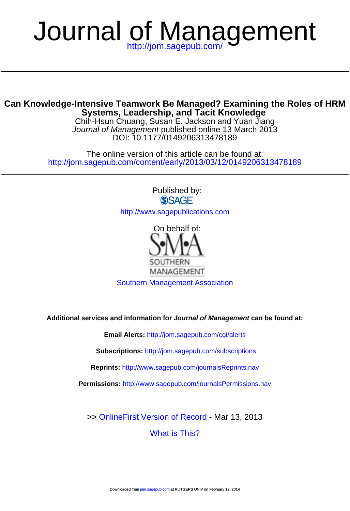# Journal of Management

# **Systems, Leadership, and Tacit Knowledge Can Knowledge-Intensive Teamwork Be Managed? Examining the Roles of HRM**

DOI: 10.[1177/0149206313478189](http://jom.sagepub.com/cgi/alerts) Journal of Management published online 13 March 2013 Chih-Hsun Chuang, Susan E. Jackson and Yuan Jiang

<http://jom.sagepub.com/content/early/2013/03/12/0149206313478189> The online version of this article can be found at:

> [Published by:](http://jom.sagepub.com/subscriptions) **SSAGE**

<http://www.sagepublications.com>



[Southern Management Association](http://southernmanagement.org)

**Additional servi[ces and information for](http://jom.sagepub.com/content/early/2013/03/12/0149206313478189.full.pdf) Journal of Management can be found at:**

**Email Alerts:** <http://jom.sagepub.com/cgi/alerts>

**Subscriptions:** <http://jom.sagepub.com/subscriptions>

**Reprints:** <http://www.sagepub.com/journalsReprints.nav>

**Permissions:** <http://www.sagepub.com/journalsPermissions.nav>

[What is This?](http://online.sagepub.com/site/sphelp/vorhelp.xhtml) >> [OnlineFirst Version of Record -](http://jom.sagepub.com/content/early/2013/03/12/0149206313478189.full.pdf) Mar 13, 2013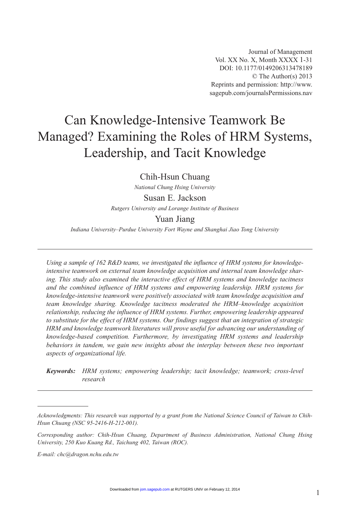Journal of Management Vol. XX No. X, Month XXXX 1-31 DOI: 10.1177/0149206313478189 © The Author(s) 2013 Reprints and permission: http://www. sagepub.com/journalsPermissions.nav

# Can Knowledge-Intensive Teamwork Be Managed? Examining the Roles of HRM Systems, Leadership, and Tacit Knowledge

Chih-Hsun Chuang

*National Chung Hsing University*

# Susan E. Jackson

*Rutgers University and Lorange Institute of Business*

# Yuan Jiang

*Indiana University–Purdue University Fort Wayne and Shanghai Jiao Tong University*

*Using a sample of 162 R&D teams, we investigated the influence of HRM systems for knowledgeintensive teamwork on external team knowledge acquisition and internal team knowledge sharing. This study also examined the interactive effect of HRM systems and knowledge tacitness and the combined influence of HRM systems and empowering leadership. HRM systems for knowledge-intensive teamwork were positively associated with team knowledge acquisition and team knowledge sharing. Knowledge tacitness moderated the HRM–knowledge acquisition relationship, reducing the influence of HRM systems. Further, empowering leadership appeared to substitute for the effect of HRM systems. Our findings suggest that an integration of strategic HRM and knowledge teamwork literatures will prove useful for advancing our understanding of knowledge-based competition. Furthermore, by investigating HRM systems and leadership behaviors in tandem, we gain new insights about the interplay between these two important aspects of organizational life.*

*Keywords: HRM systems; empowering leadership; tacit knowledge; teamwork; cross-level research*

*Acknowledgments: This research was supported by a grant from the National Science Council of Taiwan to Chih-Hsun Chuang (NSC 95-2416-H-212-001).*

*Corresponding author: Chih-Hsun Chuang, Department of Business Administration, National Chung Hsing University, 250 Kuo Kuang Rd., Taichung 402, Taiwan (ROC).* 

*E-mail: chc@dragon.nchu.edu.tw*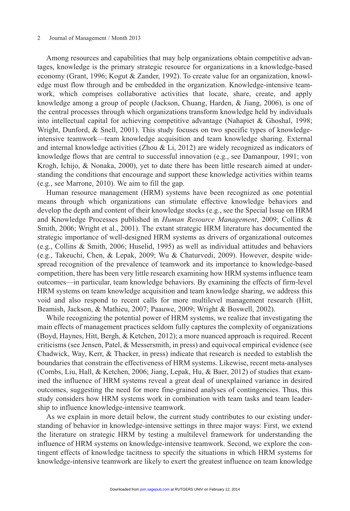Among resources and capabilities that may help organizations obtain competitive advantages, knowledge is the primary strategic resource for organizations in a knowledge-based economy (Grant, 1996; Kogut & Zander, 1992). To create value for an organization, knowledge must flow through and be embedded in the organization. Knowledge-intensive teamwork, which comprises collaborative activities that locate, share, create, and apply knowledge among a group of people (Jackson, Chuang, Harden, & Jiang, 2006), is one of the central processes through which organizations transform knowledge held by individuals into intellectual capital for achieving competitive advantage (Nahapiet & Ghoshal, 1998; Wright, Dunford, & Snell, 2001). This study focuses on two specific types of knowledgeintensive teamwork—team knowledge acquisition and team knowledge sharing. External and internal knowledge activities (Zhou  $& Li$ , 2012) are widely recognized as indicators of knowledge flows that are central to successful innovation (e.g., see Damanpour, 1991; von Krogh, Ichijo, & Nonaka, 2000), yet to date there has been little research aimed at understanding the conditions that encourage and support these knowledge activities within teams (e.g., see Marrone, 2010). We aim to fill the gap.

Human resource management (HRM) systems have been recognized as one potential means through which organizations can stimulate effective knowledge behaviors and develop the depth and content of their knowledge stocks (e.g., see the Special Issue on HRM and Knowledge Processes published in *Human Resource Management*, 2009; Collins & Smith, 2006; Wright et al., 2001). The extant strategic HRM literature has documented the strategic importance of well-designed HRM systems as drivers of organizational outcomes (e.g., Collins & Smith, 2006; Huselid, 1995) as well as individual attitudes and behaviors (e.g., Takeuchi, Chen, & Lepak, 2009; Wu & Chaturvedi, 2009). However, despite widespread recognition of the prevalence of teamwork and its importance to knowledge-based competition, there has been very little research examining how HRM systems influence team outcomes—in particular, team knowledge behaviors. By examining the effects of firm-level HRM systems on team knowledge acquisition and team knowledge sharing, we address this void and also respond to recent calls for more multilevel management research (Hitt, Beamish, Jackson, & Mathieu, 2007; Paauwe, 2009; Wright & Boswell, 2002).

While recognizing the potential power of HRM systems, we realize that investigating the main effects of management practices seldom fully captures the complexity of organizations (Boyd, Haynes, Hitt, Bergh, & Ketchen, 2012); a more nuanced approach is required. Recent criticisms (see Jensen, Patel, & Messersmith, in press) and equivocal empirical evidence (see Chadwick, Way, Kerr, & Thacker, in press) indicate that research is needed to establish the boundaries that constrain the effectiveness of HRM systems. Likewise, recent meta-analyses (Combs, Liu, Hall, & Ketchen, 2006; Jiang, Lepak, Hu, & Baer, 2012) of studies that examined the influence of HRM systems reveal a great deal of unexplained variance in desired outcomes, suggesting the need for more fine-grained analyses of contingencies. Thus, this study considers how HRM systems work in combination with team tasks and team leadership to influence knowledge-intensive teamwork.

As we explain in more detail below, the current study contributes to our existing understanding of behavior in knowledge-intensive settings in three major ways: First, we extend the literature on strategic HRM by testing a multilevel framework for understanding the influence of HRM systems on knowledge-intensive teamwork. Second, we explore the contingent effects of knowledge tacitness to specify the situations in which HRM systems for knowledge-intensive teamwork are likely to exert t[he greatest i](http://jom.sagepub.com/)nfluence on team knowledge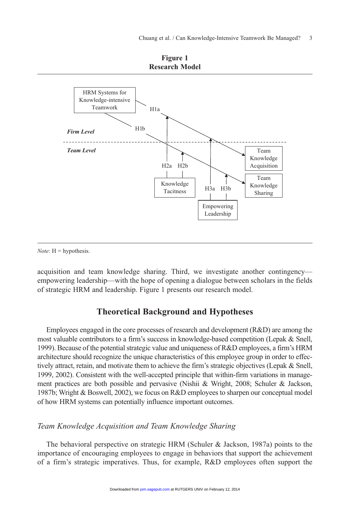

**Figure 1 Research Model**

*Note*: H = hypothesis.

acquisition and team knowledge sharing. Third, we investigate another contingency empowering leadership—with the hope of opening a dialogue between scholars in the fields of strategic HRM and leadership. Figure 1 presents our research model.

# **Theoretical Background and Hypotheses**

Employees engaged in the core processes of research and development (R&D) are among the most valuable contributors to a firm's success in knowledge-based competition (Lepak & Snell, 1999). Because of the potential strategic value and uniqueness of R&D employees, a firm's HRM architecture should recognize the unique characteristics of this employee group in order to effectively attract, retain, and motivate them to achieve the firm's strategic objectives (Lepak & Snell, 1999, 2002). Consistent with the well-accepted principle that within-firm variations in management practices are both possible and pervasive (Nishii & Wright, 2008; Schuler & Jackson, 1987b; Wright & Boswell, 2002), we focus on R&D employees to sharpen our conceptual model of how HRM systems can potentially influence important outcomes.

#### *Team Knowledge Acquisition and Team Knowledge Sharing*

The behavioral perspective on strategic HRM (Schuler & Jackson, 1987a) points to the importance of encouraging employees to engage in behaviors that support the achievement of a firm's strategic imperatives. Thus, for exam[ple, R&D e](http://jom.sagepub.com/)mployees often support the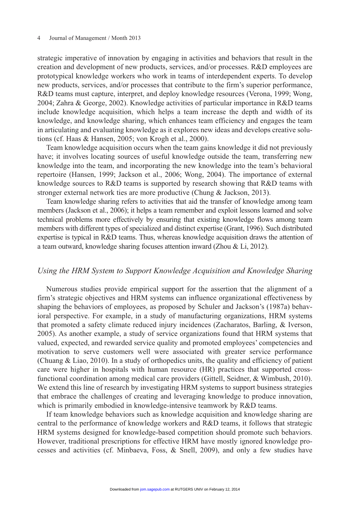strategic imperative of innovation by engaging in activities and behaviors that result in the creation and development of new products, services, and/or processes. R&D employees are prototypical knowledge workers who work in teams of interdependent experts. To develop new products, services, and/or processes that contribute to the firm's superior performance, R&D teams must capture, interpret, and deploy knowledge resources (Verona, 1999; Wong, 2004; Zahra & George, 2002). Knowledge activities of particular importance in R&D teams include knowledge acquisition, which helps a team increase the depth and width of its knowledge, and knowledge sharing, which enhances team efficiency and engages the team in articulating and evaluating knowledge as it explores new ideas and develops creative solutions (cf. Haas & Hansen, 2005; von Krogh et al., 2000).

Team knowledge acquisition occurs when the team gains knowledge it did not previously have; it involves locating sources of useful knowledge outside the team, transferring new knowledge into the team, and incorporating the new knowledge into the team's behavioral repertoire (Hansen, 1999; Jackson et al., 2006; Wong, 2004). The importance of external knowledge sources to R&D teams is supported by research showing that R&D teams with stronger external network ties are more productive (Chung & Jackson, 2013).

Team knowledge sharing refers to activities that aid the transfer of knowledge among team members (Jackson et al., 2006); it helps a team remember and exploit lessons learned and solve technical problems more effectively by ensuring that existing knowledge flows among team members with different types of specialized and distinct expertise (Grant, 1996). Such distributed expertise is typical in R&D teams. Thus, whereas knowledge acquisition draws the attention of a team outward, knowledge sharing focuses attention inward (Zhou & Li, 2012).

#### *Using the HRM System to Support Knowledge Acquisition and Knowledge Sharing*

Numerous studies provide empirical support for the assertion that the alignment of a firm's strategic objectives and HRM systems can influence organizational effectiveness by shaping the behaviors of employees, as proposed by Schuler and Jackson's (1987a) behavioral perspective. For example, in a study of manufacturing organizations, HRM systems that promoted a safety climate reduced injury incidences (Zacharatos, Barling, & Iverson, 2005). As another example, a study of service organizations found that HRM systems that valued, expected, and rewarded service quality and promoted employees' competencies and motivation to serve customers well were associated with greater service performance (Chuang & Liao, 2010). In a study of orthopedics units, the quality and efficiency of patient care were higher in hospitals with human resource (HR) practices that supported crossfunctional coordination among medical care providers (Gittell, Seidner, & Wimbush, 2010). We extend this line of research by investigating HRM systems to support business strategies that embrace the challenges of creating and leveraging knowledge to produce innovation, which is primarily embodied in knowledge-intensive teamwork by R&D teams.

If team knowledge behaviors such as knowledge acquisition and knowledge sharing are central to the performance of knowledge workers and R&D teams, it follows that strategic HRM systems designed for knowledge-based competition should promote such behaviors. However, traditional prescriptions for effective HRM have mostly ignored knowledge processes and activities (cf. Minbaeva, Foss, & Snell, 2009), and only a few studies have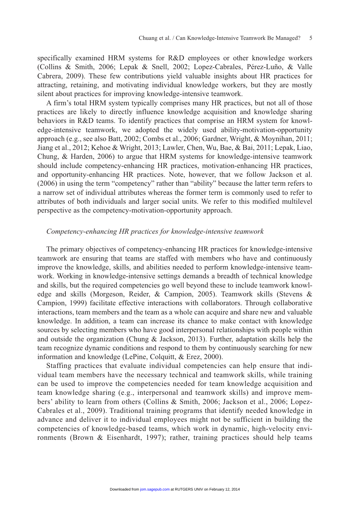specifically examined HRM systems for R&D employees or other knowledge workers (Collins & Smith, 2006; Lepak & Snell, 2002; Lopez-Cabrales, Pérez-Luño, & Valle Cabrera, 2009). These few contributions yield valuable insights about HR practices for attracting, retaining, and motivating individual knowledge workers, but they are mostly silent about practices for improving knowledge-intensive teamwork.

A firm's total HRM system typically comprises many HR practices, but not all of those practices are likely to directly influence knowledge acquisition and knowledge sharing behaviors in R&D teams. To identify practices that comprise an HRM system for knowledge-intensive teamwork, we adopted the widely used ability-motivation-opportunity approach (e.g., see also Batt, 2002; Combs et al., 2006; Gardner, Wright, & Moynihan, 2011; Jiang et al., 2012; Kehoe & Wright, 2013; Lawler, Chen, Wu, Bae, & Bai, 2011; Lepak, Liao, Chung, & Harden, 2006) to argue that HRM systems for knowledge-intensive teamwork should include competency-enhancing HR practices, motivation-enhancing HR practices, and opportunity-enhancing HR practices. Note, however, that we follow Jackson et al. (2006) in using the term "competency" rather than "ability" because the latter term refers to a narrow set of individual attributes whereas the former term is commonly used to refer to attributes of both individuals and larger social units. We refer to this modified multilevel perspective as the competency-motivation-opportunity approach.

#### *Competency-enhancing HR practices for knowledge-intensive teamwork*

The primary objectives of competency-enhancing HR practices for knowledge-intensive teamwork are ensuring that teams are staffed with members who have and continuously improve the knowledge, skills, and abilities needed to perform knowledge-intensive teamwork. Working in knowledge-intensive settings demands a breadth of technical knowledge and skills, but the required competencies go well beyond these to include teamwork knowledge and skills (Morgeson, Reider, & Campion, 2005). Teamwork skills (Stevens & Campion, 1999) facilitate effective interactions with collaborators. Through collaborative interactions, team members and the team as a whole can acquire and share new and valuable knowledge. In addition, a team can increase its chance to make contact with knowledge sources by selecting members who have good interpersonal relationships with people within and outside the organization (Chung & Jackson, 2013). Further, adaptation skills help the team recognize dynamic conditions and respond to them by continuously searching for new information and knowledge (LePine, Colquitt, & Erez, 2000).

Staffing practices that evaluate individual competencies can help ensure that individual team members have the necessary technical and teamwork skills, while training can be used to improve the competencies needed for team knowledge acquisition and team knowledge sharing (e.g., interpersonal and teamwork skills) and improve members' ability to learn from others (Collins & Smith, 2006; Jackson et al., 2006; Lopez-Cabrales et al., 2009). Traditional training programs that identify needed knowledge in advance and deliver it to individual employees might not be sufficient in building the competencies of knowledge-based teams, which work in dynamic, high-velocity environments (Brown  $\&$  Eisenhardt, 1997); rather, training practices should help teams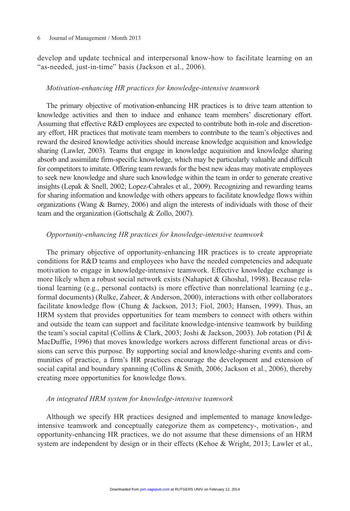develop and update technical and interpersonal know-how to facilitate learning on an "as-needed, just-in-time" basis (Jackson et al., 2006).

#### *Motivation-enhancing HR practices for knowledge-intensive teamwork*

The primary objective of motivation-enhancing HR practices is to drive team attention to knowledge activities and then to induce and enhance team members' discretionary effort. Assuming that effective R&D employees are expected to contribute both in-role and discretionary effort, HR practices that motivate team members to contribute to the team's objectives and reward the desired knowledge activities should increase knowledge acquisition and knowledge sharing (Lawler, 2003). Teams that engage in knowledge acquisition and knowledge sharing absorb and assimilate firm-specific knowledge, which may be particularly valuable and difficult for competitors to imitate. Offering team rewards for the best new ideas may motivate employees to seek new knowledge and share such knowledge within the team in order to generate creative insights (Lepak & Snell, 2002; Lopez-Cabrales et al., 2009). Recognizing and rewarding teams for sharing information and knowledge with others appears to facilitate knowledge flows within organizations (Wang & Barney, 2006) and align the interests of individuals with those of their team and the organization (Gottschalg & Zollo, 2007).

#### *Opportunity-enhancing HR practices for knowledge-intensive teamwork*

The primary objective of opportunity-enhancing HR practices is to create appropriate conditions for R&D teams and employees who have the needed competencies and adequate motivation to engage in knowledge-intensive teamwork. Effective knowledge exchange is more likely when a robust social network exists (Nahapiet & Ghoshal, 1998). Because relational learning (e.g., personal contacts) is more effective than nonrelational learning (e.g., formal documents) (Rulke, Zaheer, & Anderson, 2000), interactions with other collaborators facilitate knowledge flow (Chung & Jackson, 2013; Fiol, 2003; Hansen, 1999). Thus, an HRM system that provides opportunities for team members to connect with others within and outside the team can support and facilitate knowledge-intensive teamwork by building the team's social capital (Collins & Clark, 2003; Joshi & Jackson, 2003). Job rotation (Pil & MacDuffie, 1996) that moves knowledge workers across different functional areas or divisions can serve this purpose. By supporting social and knowledge-sharing events and communities of practice, a firm's HR practices encourage the development and extension of social capital and boundary spanning (Collins & Smith, 2006; Jackson et al., 2006), thereby creating more opportunities for knowledge flows.

#### *An integrated HRM system for knowledge-intensive teamwork*

Although we specify HR practices designed and implemented to manage knowledgeintensive teamwork and conceptually categorize them as competency-, motivation-, and opportunity-enhancing HR practices, we do not assume that these dimensions of an HRM system are independent by design or in their effects (Kehoe & Wright, 2013; Lawler et al.,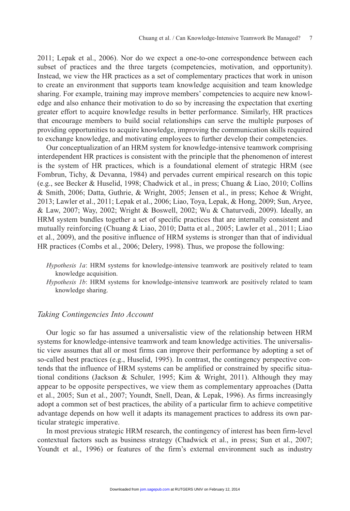2011; Lepak et al., 2006). Nor do we expect a one-to-one correspondence between each subset of practices and the three targets (competencies, motivation, and opportunity). Instead, we view the HR practices as a set of complementary practices that work in unison to create an environment that supports team knowledge acquisition and team knowledge sharing. For example, training may improve members' competencies to acquire new knowledge and also enhance their motivation to do so by increasing the expectation that exerting greater effort to acquire knowledge results in better performance. Similarly, HR practices that encourage members to build social relationships can serve the multiple purposes of providing opportunities to acquire knowledge, improving the communication skills required to exchange knowledge, and motivating employees to further develop their competencies.

Our conceptualization of an HRM system for knowledge-intensive teamwork comprising interdependent HR practices is consistent with the principle that the phenomenon of interest is the system of HR practices, which is a foundational element of strategic HRM (see Fombrun, Tichy, & Devanna, 1984) and pervades current empirical research on this topic (e.g., see Becker & Huselid, 1998; Chadwick et al., in press; Chuang & Liao, 2010; Collins & Smith, 2006; Datta, Guthrie, & Wright, 2005; Jensen et al., in press; Kehoe & Wright, 2013; Lawler et al., 2011; Lepak et al., 2006; Liao, Toya, Lepak, & Hong, 2009; Sun, Aryee, & Law, 2007; Way, 2002; Wright & Boswell, 2002; Wu & Chaturvedi, 2009). Ideally, an HRM system bundles together a set of specific practices that are internally consistent and mutually reinforcing (Chuang & Liao, 2010; Datta et al., 2005; Lawler et al., 2011; Liao et al., 2009), and the positive influence of HRM systems is stronger than that of individual HR practices (Combs et al., 2006; Delery, 1998). Thus, we propose the following:

- *Hypothesis 1a*: HRM systems for knowledge-intensive teamwork are positively related to team knowledge acquisition.
- *Hypothesis 1b*: HRM systems for knowledge-intensive teamwork are positively related to team knowledge sharing.

#### *Taking Contingencies Into Account*

Our logic so far has assumed a universalistic view of the relationship between HRM systems for knowledge-intensive teamwork and team knowledge activities. The universalistic view assumes that all or most firms can improve their performance by adopting a set of so-called best practices (e.g., Huselid, 1995). In contrast, the contingency perspective contends that the influence of HRM systems can be amplified or constrained by specific situational conditions (Jackson & Schuler, 1995; Kim & Wright, 2011). Although they may appear to be opposite perspectives, we view them as complementary approaches (Datta et al., 2005; Sun et al., 2007; Youndt, Snell, Dean, & Lepak, 1996). As firms increasingly adopt a common set of best practices, the ability of a particular firm to achieve competitive advantage depends on how well it adapts its management practices to address its own particular strategic imperative.

In most previous strategic HRM research, the contingency of interest has been firm-level contextual factors such as business strategy (Chadwick et al., in press; Sun et al., 2007; Youndt et al., 1996) or features of the firm's external environment such as industry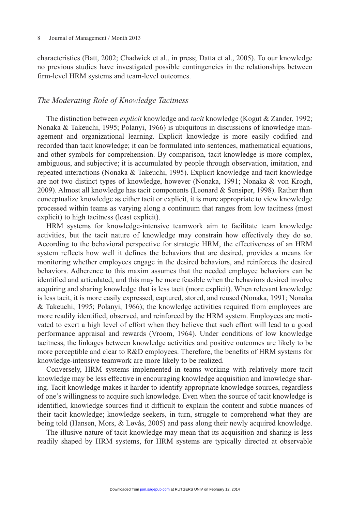characteristics (Batt, 2002; Chadwick et al., in press; Datta et al., 2005). To our knowledge no previous studies have investigated possible contingencies in the relationships between firm-level HRM systems and team-level outcomes.

#### *The Moderating Role of Knowledge Tacitness*

The distinction between *explicit* knowledge and *tacit* knowledge (Kogut & Zander, 1992; Nonaka & Takeuchi, 1995; Polanyi, 1966) is ubiquitous in discussions of knowledge management and organizational learning. Explicit knowledge is more easily codified and recorded than tacit knowledge; it can be formulated into sentences, mathematical equations, and other symbols for comprehension. By comparison, tacit knowledge is more complex, ambiguous, and subjective; it is accumulated by people through observation, imitation, and repeated interactions (Nonaka & Takeuchi, 1995). Explicit knowledge and tacit knowledge are not two distinct types of knowledge, however (Nonaka, 1991; Nonaka & von Krogh, 2009). Almost all knowledge has tacit components (Leonard & Sensiper, 1998). Rather than conceptualize knowledge as either tacit or explicit, it is more appropriate to view knowledge processed within teams as varying along a continuum that ranges from low tacitness (most explicit) to high tacitness (least explicit).

HRM systems for knowledge-intensive teamwork aim to facilitate team knowledge activities, but the tacit nature of knowledge may constrain how effectively they do so. According to the behavioral perspective for strategic HRM, the effectiveness of an HRM system reflects how well it defines the behaviors that are desired, provides a means for monitoring whether employees engage in the desired behaviors, and reinforces the desired behaviors. Adherence to this maxim assumes that the needed employee behaviors can be identified and articulated, and this may be more feasible when the behaviors desired involve acquiring and sharing knowledge that is less tacit (more explicit). When relevant knowledge is less tacit, it is more easily expressed, captured, stored, and reused (Nonaka, 1991; Nonaka & Takeuchi, 1995; Polanyi, 1966); the knowledge activities required from employees are more readily identified, observed, and reinforced by the HRM system. Employees are motivated to exert a high level of effort when they believe that such effort will lead to a good performance appraisal and rewards (Vroom, 1964). Under conditions of low knowledge tacitness, the linkages between knowledge activities and positive outcomes are likely to be more perceptible and clear to R&D employees. Therefore, the benefits of HRM systems for knowledge-intensive teamwork are more likely to be realized.

Conversely, HRM systems implemented in teams working with relatively more tacit knowledge may be less effective in encouraging knowledge acquisition and knowledge sharing. Tacit knowledge makes it harder to identify appropriate knowledge sources, regardless of one's willingness to acquire such knowledge. Even when the source of tacit knowledge is identified, knowledge sources find it difficult to explain the content and subtle nuances of their tacit knowledge; knowledge seekers, in turn, struggle to comprehend what they are being told (Hansen, Mors, & Løvås, 2005) and pass along their newly acquired knowledge.

The illusive nature of tacit knowledge may mean that its acquisition and sharing is less readily shaped by HRM systems, for HRM systems are typically directed at observable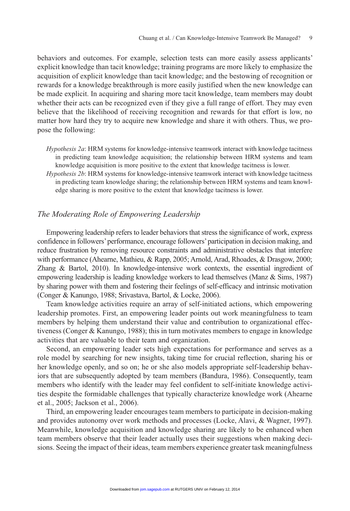behaviors and outcomes. For example, selection tests can more easily assess applicants' explicit knowledge than tacit knowledge; training programs are more likely to emphasize the acquisition of explicit knowledge than tacit knowledge; and the bestowing of recognition or rewards for a knowledge breakthrough is more easily justified when the new knowledge can be made explicit. In acquiring and sharing more tacit knowledge, team members may doubt whether their acts can be recognized even if they give a full range of effort. They may even believe that the likelihood of receiving recognition and rewards for that effort is low, no matter how hard they try to acquire new knowledge and share it with others. Thus, we propose the following:

- *Hypothesis 2a*: HRM systems for knowledge-intensive teamwork interact with knowledge tacitness in predicting team knowledge acquisition; the relationship between HRM systems and team knowledge acquisition is more positive to the extent that knowledge tacitness is lower.
- *Hypothesis 2b*: HRM systems for knowledge-intensive teamwork interact with knowledge tacitness in predicting team knowledge sharing; the relationship between HRM systems and team knowledge sharing is more positive to the extent that knowledge tacitness is lower.

#### *The Moderating Role of Empowering Leadership*

Empowering leadership refers to leader behaviors that stress the significance of work, express confidence in followers' performance, encourage followers' participation in decision making, and reduce frustration by removing resource constraints and administrative obstacles that interfere with performance (Ahearne, Mathieu, & Rapp, 2005; Arnold, Arad, Rhoades, & Drasgow, 2000; Zhang & Bartol, 2010). In knowledge-intensive work contexts, the essential ingredient of empowering leadership is leading knowledge workers to lead themselves (Manz & Sims, 1987) by sharing power with them and fostering their feelings of self-efficacy and intrinsic motivation (Conger & Kanungo, 1988; Srivastava, Bartol, & Locke, 2006).

Team knowledge activities require an array of self-initiated actions, which empowering leadership promotes. First, an empowering leader points out work meaningfulness to team members by helping them understand their value and contribution to organizational effectiveness (Conger & Kanungo, 1988); this in turn motivates members to engage in knowledge activities that are valuable to their team and organization.

Second, an empowering leader sets high expectations for performance and serves as a role model by searching for new insights, taking time for crucial reflection, sharing his or her knowledge openly, and so on; he or she also models appropriate self-leadership behaviors that are subsequently adopted by team members (Bandura, 1986). Consequently, team members who identify with the leader may feel confident to self-initiate knowledge activities despite the formidable challenges that typically characterize knowledge work (Ahearne et al., 2005; Jackson et al., 2006).

Third, an empowering leader encourages team members to participate in decision-making and provides autonomy over work methods and processes (Locke, Alavi, & Wagner, 1997). Meanwhile, knowledge acquisition and knowledge sharing are likely to be enhanced when team members observe that their leader actually uses their suggestions when making decisions. Seeing the impact of their ideas, team members experience greater task meaningfulness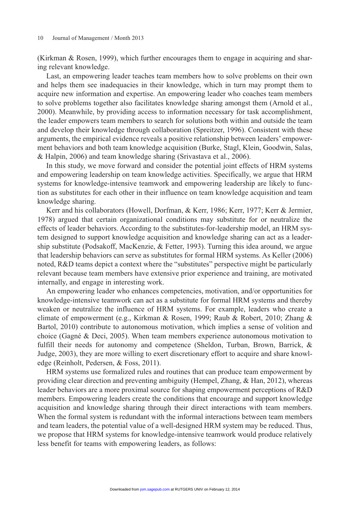(Kirkman & Rosen, 1999), which further encourages them to engage in acquiring and sharing relevant knowledge.

Last, an empowering leader teaches team members how to solve problems on their own and helps them see inadequacies in their knowledge, which in turn may prompt them to acquire new information and expertise. An empowering leader who coaches team members to solve problems together also facilitates knowledge sharing amongst them (Arnold et al., 2000). Meanwhile, by providing access to information necessary for task accomplishment, the leader empowers team members to search for solutions both within and outside the team and develop their knowledge through collaboration (Spreitzer, 1996). Consistent with these arguments, the empirical evidence reveals a positive relationship between leaders' empowerment behaviors and both team knowledge acquisition (Burke, Stagl, Klein, Goodwin, Salas, & Halpin, 2006) and team knowledge sharing (Srivastava et al., 2006).

In this study, we move forward and consider the potential joint effects of HRM systems and empowering leadership on team knowledge activities. Specifically, we argue that HRM systems for knowledge-intensive teamwork and empowering leadership are likely to function as substitutes for each other in their influence on team knowledge acquisition and team knowledge sharing.

Kerr and his collaborators (Howell, Dorfman, & Kerr, 1986; Kerr, 1977; Kerr & Jermier, 1978) argued that certain organizational conditions may substitute for or neutralize the effects of leader behaviors. According to the substitutes-for-leadership model, an HRM system designed to support knowledge acquisition and knowledge sharing can act as a leadership substitute (Podsakoff, MacKenzie, & Fetter, 1993). Turning this idea around, we argue that leadership behaviors can serve as substitutes for formal HRM systems. As Keller (2006) noted, R&D teams depict a context where the "substitutes" perspective might be particularly relevant because team members have extensive prior experience and training, are motivated internally, and engage in interesting work.

An empowering leader who enhances competencies, motivation, and/or opportunities for knowledge-intensive teamwork can act as a substitute for formal HRM systems and thereby weaken or neutralize the influence of HRM systems. For example, leaders who create a climate of empowerment (e.g., Kirkman & Rosen, 1999; Raub & Robert, 2010; Zhang & Bartol, 2010) contribute to autonomous motivation, which implies a sense of volition and choice (Gagné & Deci, 2005). When team members experience autonomous motivation to fulfill their needs for autonomy and competence (Sheldon, Turban, Brown, Barrick, & Judge, 2003), they are more willing to exert discretionary effort to acquire and share knowledge (Reinholt, Pedersen, & Foss, 2011).

HRM systems use formalized rules and routines that can produce team empowerment by providing clear direction and preventing ambiguity (Hempel, Zhang, & Han, 2012), whereas leader behaviors are a more proximal source for shaping empowerment perceptions of R&D members. Empowering leaders create the conditions that encourage and support knowledge acquisition and knowledge sharing through their direct interactions with team members. When the formal system is redundant with the informal interactions between team members and team leaders, the potential value of a well-designed HRM system may be reduced. Thus, we propose that HRM systems for knowledge-intensive teamwork would produce relatively less benefit for teams with empowering leaders, as follows: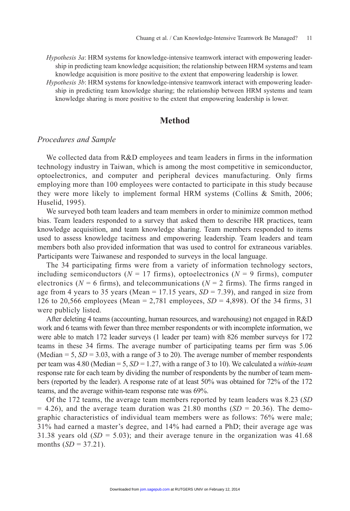- *Hypothesis 3a*: HRM systems for knowledge-intensive teamwork interact with empowering leadership in predicting team knowledge acquisition; the relationship between HRM systems and team knowledge acquisition is more positive to the extent that empowering leadership is lower.
- *Hypothesis 3b*: HRM systems for knowledge-intensive teamwork interact with empowering leadership in predicting team knowledge sharing; the relationship between HRM systems and team knowledge sharing is more positive to the extent that empowering leadership is lower.

# **Method**

#### *Procedures and Sample*

We collected data from R&D employees and team leaders in firms in the information technology industry in Taiwan, which is among the most competitive in semiconductor, optoelectronics, and computer and peripheral devices manufacturing. Only firms employing more than 100 employees were contacted to participate in this study because they were more likely to implement formal HRM systems (Collins & Smith, 2006; Huselid, 1995).

We surveyed both team leaders and team members in order to minimize common method bias. Team leaders responded to a survey that asked them to describe HR practices, team knowledge acquisition, and team knowledge sharing. Team members responded to items used to assess knowledge tacitness and empowering leadership. Team leaders and team members both also provided information that was used to control for extraneous variables. Participants were Taiwanese and responded to surveys in the local language.

The 34 participating firms were from a variety of information technology sectors, including semiconductors ( $N = 17$  firms), optoelectronics ( $N = 9$  firms), computer electronics ( $N = 6$  firms), and telecommunications ( $N = 2$  firms). The firms ranged in age from 4 years to 35 years (Mean  $= 17.15$  years,  $SD = 7.39$ ), and ranged in size from 126 to 20,566 employees (Mean = 2,781 employees, *SD* = 4,898). Of the 34 firms, 31 were publicly listed.

After deleting 4 teams (accounting, human resources, and warehousing) not engaged in R&D work and 6 teams with fewer than three member respondents or with incomplete information, we were able to match 172 leader surveys (1 leader per team) with 826 member surveys for 172 teams in these 34 firms. The average number of participating teams per firm was 5.06 (Median  $= 5$ ,  $SD = 3.03$ , with a range of 3 to 20). The average number of member respondents per team was 4.80 (Median = 5, *SD* = 1.27, with a range of 3 to 10). We calculated a *within-team* response rate for each team by dividing the number of respondents by the number of team members (reported by the leader). A response rate of at least 50% was obtained for 72% of the 172 teams, and the average within-team response rate was 69%.

Of the 172 teams, the average team members reported by team leaders was 8.23 (*SD*  $= 4.26$ ), and the average team duration was 21.80 months (*SD* = 20.36). The demographic characteristics of individual team members were as follows: 76% were male; 31% had earned a master's degree, and 14% had earned a PhD; their average age was 31.38 years old  $(SD = 5.03)$ ; and their average tenure in the organization was 41.68 months  $(SD = 37.21)$ .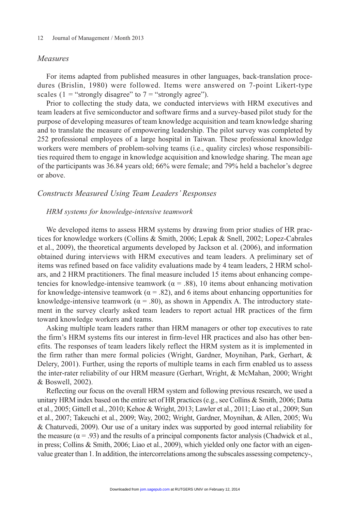#### *Measures*

For items adapted from published measures in other languages, back-translation procedures (Brislin, 1980) were followed. Items were answered on 7-point Likert-type scales (1 = "strongly disagree" to  $7$  = "strongly agree").

Prior to collecting the study data, we conducted interviews with HRM executives and team leaders at five semiconductor and software firms and a survey-based pilot study for the purpose of developing measures of team knowledge acquisition and team knowledge sharing and to translate the measure of empowering leadership. The pilot survey was completed by 252 professional employees of a large hospital in Taiwan. These professional knowledge workers were members of problem-solving teams (i.e., quality circles) whose responsibilities required them to engage in knowledge acquisition and knowledge sharing. The mean age of the participants was 36.84 years old; 66% were female; and 79% held a bachelor's degree or above.

#### *Constructs Measured Using Team Leaders' Responses*

#### *HRM systems for knowledge-intensive teamwork*

We developed items to assess HRM systems by drawing from prior studies of HR practices for knowledge workers (Collins & Smith, 2006; Lepak & Snell, 2002; Lopez-Cabrales et al., 2009), the theoretical arguments developed by Jackson et al. (2006), and information obtained during interviews with HRM executives and team leaders. A preliminary set of items was refined based on face validity evaluations made by 4 team leaders, 2 HRM scholars, and 2 HRM practitioners. The final measure included 15 items about enhancing competencies for knowledge-intensive teamwork ( $\alpha$  = .88), 10 items about enhancing motivation for knowledge-intensive teamwork ( $\alpha$  = .82), and 6 items about enhancing opportunities for knowledge-intensive teamwork ( $\alpha$  = .80), as shown in Appendix A. The introductory statement in the survey clearly asked team leaders to report actual HR practices of the firm toward knowledge workers and teams.

Asking multiple team leaders rather than HRM managers or other top executives to rate the firm's HRM systems fits our interest in firm-level HR practices and also has other benefits. The responses of team leaders likely reflect the HRM system as it is implemented in the firm rather than mere formal policies (Wright, Gardner, Moynihan, Park, Gerhart, & Delery, 2001). Further, using the reports of multiple teams in each firm enabled us to assess the inter-rater reliability of our HRM measure (Gerhart, Wright, & McMahan, 2000; Wright & Boswell, 2002).

Reflecting our focus on the overall HRM system and following previous research, we used a unitary HRM index based on the entire set of HR practices (e.g., see Collins & Smith, 2006; Datta et al., 2005; Gittell et al., 2010; Kehoe & Wright, 2013; Lawler et al., 2011; Liao et al., 2009; Sun et al., 2007; Takeuchi et al., 2009; Way, 2002; Wright, Gardner, Moynihan, & Allen, 2005; Wu & Chaturvedi, 2009). Our use of a unitary index was supported by good internal reliability for the measure ( $\alpha$  = .93) and the results of a principal components factor analysis (Chadwick et al., in press; Collins & Smith, 2006; Liao et al., 2009), which yielded only one factor with an eigenvalue greater than 1. In addition, the intercorrelations among the subscales assessing competency-,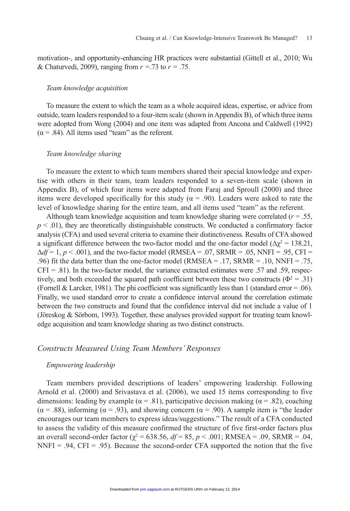motivation-, and opportunity-enhancing HR practices were substantial (Gittell et al., 2010; Wu & Chaturvedi, 2009), ranging from *r =*.73 to *r =* .75.

#### *Team knowledge acquisition*

To measure the extent to which the team as a whole acquired ideas, expertise, or advice from outside, team leaders responded to a four-item scale (shown in Appendix B), of which three items were adopted from Wong (2004) and one item was adapted from Ancona and Caldwell (1992)  $(\alpha = .84)$ . All items used "team" as the referent.

#### *Team knowledge sharing*

To measure the extent to which team members shared their special knowledge and expertise with others in their team, team leaders responded to a seven-item scale (shown in Appendix B), of which four items were adapted from Faraj and Sproull (2000) and three items were developed specifically for this study ( $\alpha$  = .90). Leaders were asked to rate the level of knowledge sharing for the entire team, and all items used "team" as the referent.

Although team knowledge acquisition and team knowledge sharing were correlated (*r* = .55,  $p \leq 0.01$ , they are theoretically distinguishable constructs. We conducted a confirmatory factor analysis (CFA) and used several criteria to examine their distinctiveness. Results of CFA showed a significant difference between the two-factor model and the one-factor model ( $\Delta \chi^2 = 138.21$ ,  $\Delta df = 1, p < .001$ ), and the two-factor model (RMSEA = .07, SRMR = .05, NNFI = .95, CFI = .96) fit the data better than the one-factor model (RMSEA = .17, SRMR = .10, NNFI = .75,  $CFI = .81$ ). In the two-factor model, the variance extracted estimates were .57 and .59, respectively, and both exceeded the squared path coefficient between these two constructs ( $\Phi^2 = .31$ ) (Fornell & Larcker, 1981). The phi coefficient was significantly less than 1 (standard error = .06). Finally, we used standard error to create a confidence interval around the correlation estimate between the two constructs and found that the confidence interval did not include a value of 1 (Jöreskog & Sörbom, 1993). Together, these analyses provided support for treating team knowledge acquisition and team knowledge sharing as two distinct constructs.

#### *Constructs Measured Using Team Members' Responses*

#### *Empowering leadership*

Team members provided descriptions of leaders' empowering leadership. Following Arnold et al. (2000) and Srivastava et al. (2006), we used 15 items corresponding to five dimensions: leading by example ( $\alpha$  = .81), participative decision making ( $\alpha$  = .82), coaching  $(\alpha = .88)$ , informing  $(\alpha = .93)$ , and showing concern  $(\alpha = .90)$ . A sample item is "the leader encourages our team members to express ideas/suggestions." The result of a CFA conducted to assess the validity of this measure confirmed the structure of five first-order factors plus an overall second-order factor ( $\chi^2$  = 638.56,  $df$  = 85,  $p$  < .001; RMSEA = .09, SRMR = .04, NNFI =  $.94$ , CFI =  $.95$ ). Because the second-order CFA supported the notion that the five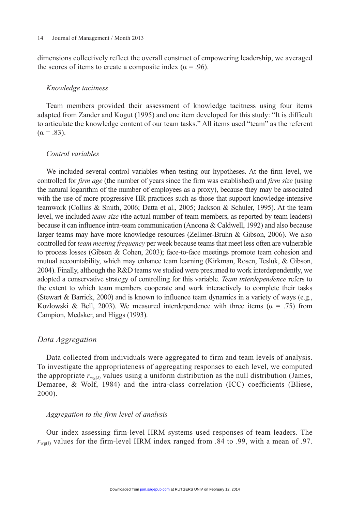dimensions collectively reflect the overall construct of empowering leadership, we averaged the scores of items to create a composite index ( $\alpha$  = .96).

#### *Knowledge tacitness*

Team members provided their assessment of knowledge tacitness using four items adapted from Zander and Kogut (1995) and one item developed for this study: "It is difficult to articulate the knowledge content of our team tasks." All items used "team" as the referent  $(α = .83)$ .

#### *Control variables*

We included several control variables when testing our hypotheses. At the firm level, we controlled for *firm age* (the number of years since the firm was established) and *firm size* (using the natural logarithm of the number of employees as a proxy), because they may be associated with the use of more progressive HR practices such as those that support knowledge-intensive teamwork (Collins & Smith, 2006; Datta et al., 2005; Jackson & Schuler, 1995). At the team level, we included *team size* (the actual number of team members, as reported by team leaders) because it can influence intra-team communication (Ancona & Caldwell, 1992) and also because larger teams may have more knowledge resources (Zellmer-Bruhn & Gibson, 2006). We also controlled for *team meeting frequency* per week because teams that meet less often are vulnerable to process losses (Gibson & Cohen, 2003); face-to-face meetings promote team cohesion and mutual accountability, which may enhance team learning (Kirkman, Rosen, Tesluk, & Gibson, 2004). Finally, although the R&D teams we studied were presumed to work interdependently, we adopted a conservative strategy of controlling for this variable. *Team interdependence* refers to the extent to which team members cooperate and work interactively to complete their tasks (Stewart & Barrick, 2000) and is known to influence team dynamics in a variety of ways (e.g., Kozlowski & Bell, 2003). We measured interdependence with three items ( $\alpha$  = .75) from Campion, Medsker, and Higgs (1993).

#### *Data Aggregation*

Data collected from individuals were aggregated to firm and team levels of analysis. To investigate the appropriateness of aggregating responses to each level, we computed the appropriate  $r_{\text{wg}(J)}$  values using a uniform distribution as the null distribution (James, Demaree, & Wolf, 1984) and the intra-class correlation (ICC) coefficients (Bliese, 2000).

#### *Aggregation to the firm level of analysis*

Our index assessing firm-level HRM systems used responses of team leaders. The  $r_{\text{wg(J)}}$  values for the firm-level HRM index ranged from .84 to .99, with a mean of .97.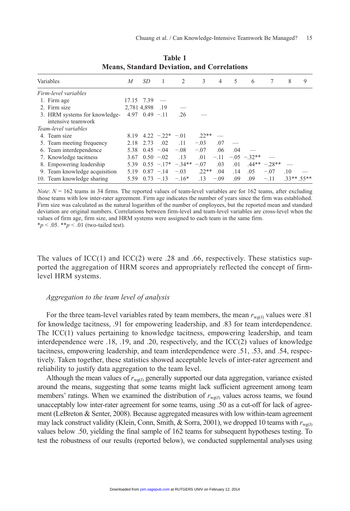| Variables                                           | M    | SD                          | 1                           | 2                                 | 3       | 4      | 5   | 6             | 7               | 8            | 9 |
|-----------------------------------------------------|------|-----------------------------|-----------------------------|-----------------------------------|---------|--------|-----|---------------|-----------------|--------------|---|
| Firm-level variables                                |      |                             |                             |                                   |         |        |     |               |                 |              |   |
| 1. Firm age                                         |      | 17.15 7.39                  |                             |                                   |         |        |     |               |                 |              |   |
| 2. Firm size                                        |      | 2.781 4.898                 | .19                         |                                   |         |        |     |               |                 |              |   |
| 3. HRM systems for knowledge-<br>intensive teamwork |      | $4.97 \quad 0.49 \quad -11$ |                             | .26                               |         |        |     |               |                 |              |   |
| Team-level variables                                |      |                             |                             |                                   |         |        |     |               |                 |              |   |
| 4. Team size                                        |      |                             | $8.19$ $4.22$ $-22^*$ $-01$ |                                   | $22**$  |        |     |               |                 |              |   |
| 5. Team meeting frequency                           |      | 2.18 2.73                   | .02                         | .11                               | $-.03$  | .07    |     |               |                 |              |   |
| 6. Team interdependence                             |      | $5.38$ 0.45 $-.04$          |                             | $-.08$                            | $-.07$  | .06    | .04 |               |                 |              |   |
| 7. Knowledge tacitness                              | 3.67 |                             | $0.50 - 02$                 | .13                               | .01     | $-.11$ |     | $-0.5 - 32**$ |                 |              |   |
| 8. Empowering leadership                            |      |                             |                             | 5.39 $0.55 - 17^* - 34^{**} - 07$ |         | .03    | .01 |               | $.44** - .28**$ |              |   |
| 9. Team knowledge acquisition                       | 5.19 |                             | $0.87 - 14$                 | $-.03$                            | $.22**$ | .04    | .14 | .05           | $-.07$          | .10          |   |
| 10. Team knowledge sharing                          |      | $5.59 \quad 0.73 \quad -13$ |                             | $-.16*$                           | .13     | $-.09$ | .09 | .09           | $-.11$          | $.33**.55**$ |   |

**Table 1 Means, Standard Deviation, and Correlations**

*Note*:  $N = 162$  teams in 34 firms. The reported values of team-level variables are for 162 teams, after excluding those teams with low inter-rater agreement. Firm age indicates the number of years since the firm was established. Firm size was calculated as the natural logarithm of the number of employees, but the reported mean and standard deviation are original numbers. Correlations between firm-level and team-level variables are cross-level when the values of firm age, firm size, and HRM systems were assigned to each team in the same firm. \**p* < .05. \*\**p* < .01 (two-tailed test).

The values of  $\text{ICC}(1)$  and  $\text{ICC}(2)$  were .28 and .66, respectively. These statistics supported the aggregation of HRM scores and appropriately reflected the concept of firmlevel HRM systems.

#### *Aggregation to the team level of analysis*

For the three team-level variables rated by team members, the mean  $r_{wg(J)}$  values were .81 for knowledge tacitness, .91 for empowering leadership, and .83 for team interdependence. The ICC(1) values pertaining to knowledge tacitness, empowering leadership, and team interdependence were .18, .19, and .20, respectively, and the ICC(2) values of knowledge tacitness, empowering leadership, and team interdependence were .51, .53, and .54, respectively. Taken together, these statistics showed acceptable levels of inter-rater agreement and reliability to justify data aggregation to the team level.

Although the mean values of  $r_{\text{wg}(J)}$  generally supported our data aggregation, variance existed around the means, suggesting that some teams might lack sufficient agreement among team members' ratings. When we examined the distribution of  $r_{\text{wg}(J)}$  values across teams, we found unacceptably low inter-rater agreement for some teams, using .50 as a cut-off for lack of agreement (LeBreton & Senter, 2008). Because aggregated measures with low within-team agreement may lack construct validity (Klein, Conn, Smith, & Sorra, 2001), we dropped 10 teams with  $r_{\text{wg(J)}}$ values below .50, yielding the final sample of 162 teams for subsequent hypotheses testing. To test the robustness of our results (reported below), we conducted supplemental analyses using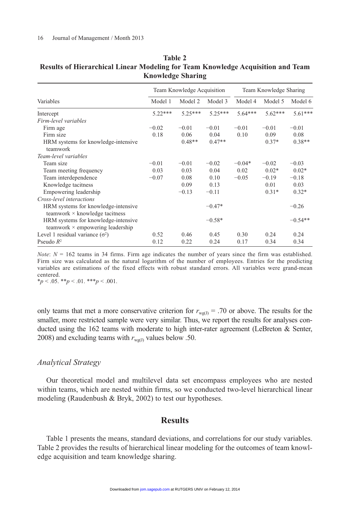|                                                                                |           | Team Knowledge Acquisition | Team Knowledge Sharing |           |           |           |  |
|--------------------------------------------------------------------------------|-----------|----------------------------|------------------------|-----------|-----------|-----------|--|
| Variables                                                                      | Model 1   | Model 2                    | Model 3                | Model 4   | Model 5   | Model 6   |  |
| Intercept                                                                      | $5.22***$ | $5.25***$                  | $5.25***$              | $5.64***$ | $5.62***$ | $5.61***$ |  |
| Firm-level variables                                                           |           |                            |                        |           |           |           |  |
| Firm age                                                                       | $-0.02$   | $-0.01$                    | $-0.01$                | $-0.01$   | $-0.01$   | $-0.01$   |  |
| Firm size                                                                      | 0.18      | 0.06                       | 0.04                   | 0.10      | 0.09      | 0.08      |  |
| HRM systems for knowledge-intensive<br>teamwork                                |           | $0.48**$                   | $0.47**$               |           | $0.37*$   | $0.38**$  |  |
| Team-level variables                                                           |           |                            |                        |           |           |           |  |
| Team size                                                                      | $-0.01$   | $-0.01$                    | $-0.02$                | $-0.04*$  | $-0.02$   | $-0.03$   |  |
| Team meeting frequency                                                         | 0.03      | 0.03                       | 0.04                   | 0.02      | $0.02*$   | $0.02*$   |  |
| Team interdependence                                                           | $-0.07$   | 0.08                       | 0.10                   | $-0.05$   | $-0.19$   | $-0.18$   |  |
| Knowledge tacitness                                                            |           | 0.09                       | 0.13                   |           | 0.01      | 0.03      |  |
| Empowering leadership                                                          |           | $-0.13$                    | $-0.11$                |           | $0.31*$   | $0.32*$   |  |
| Cross-level interactions                                                       |           |                            |                        |           |           |           |  |
| HRM systems for knowledge-intensive<br>teamwork $\times$ knowledge tacitness   |           |                            | $-0.47*$               |           |           | $-0.26$   |  |
| HRM systems for knowledge-intensive<br>teamwork $\times$ empowering leadership |           |                            | $-0.58*$               |           |           | $-0.54**$ |  |
| Level 1 residual variance $(\sigma^2)$                                         | 0.52      | 0.46                       | 0.45                   | 0.30      | 0.24      | 0.24      |  |
| Pseudo $R^2$                                                                   | 0.12      | 0.22                       | 0.24                   | 0.17      | 0.34      | 0.34      |  |

# **Table 2 Results of Hierarchical Linear Modeling for Team Knowledge Acquisition and Team Knowledge Sharing**

*Note*:  $N = 162$  teams in 34 firms. Firm age indicates the number of years since the firm was established. Firm size was calculated as the natural logarithm of the number of employees. Entries for the predicting variables are estimations of the fixed effects with robust standard errors. All variables were grand-mean centered.

 $**p* < .05.$   $**p* < .01.$   $**p* < .001.$ 

only teams that met a more conservative criterion for  $r_{\text{wg}(J)} = .70$  or above. The results for the smaller, more restricted sample were very similar. Thus, we report the results for analyses conducted using the 162 teams with moderate to high inter-rater agreement (LeBreton & Senter, 2008) and excluding teams with  $r_{\text{wg}(J)}$  values below .50.

## *Analytical Strategy*

Our theoretical model and multilevel data set encompass employees who are nested within teams, which are nested within firms, so we conducted two-level hierarchical linear modeling (Raudenbush & Bryk, 2002) to test our hypotheses.

# **Results**

Table 1 presents the means, standard deviations, and correlations for our study variables. Table 2 provides the results of hierarchical linear modeling for the outcomes of team knowledge acquisition and team knowledge sharing.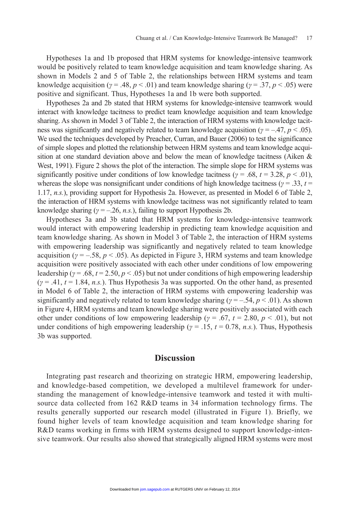Hypotheses 1a and 1b proposed that HRM systems for knowledge-intensive teamwork would be positively related to team knowledge acquisition and team knowledge sharing. As shown in Models 2 and 5 of Table 2, the relationships between HRM systems and team knowledge acquisition ( $\gamma$  = .48,  $p$  < .01) and team knowledge sharing ( $\gamma$  = .37,  $p$  < .05) were positive and significant. Thus, Hypotheses 1a and 1b were both supported.

Hypotheses 2a and 2b stated that HRM systems for knowledge-intensive teamwork would interact with knowledge tacitness to predict team knowledge acquisition and team knowledge sharing. As shown in Model 3 of Table 2, the interaction of HRM systems with knowledge tacitness was significantly and negatively related to team knowledge acquisition (*γ* = –.47, *p* < .05). We used the techniques developed by Preacher, Curran, and Bauer (2006) to test the significance of simple slopes and plotted the relationship between HRM systems and team knowledge acquisition at one standard deviation above and below the mean of knowledge tacitness (Aiken  $\&$ West, 1991). Figure 2 shows the plot of the interaction. The simple slope for HRM systems was significantly positive under conditions of low knowledge tacitness ( $\gamma = .68$ ,  $t = 3.28$ ,  $p < .01$ ), whereas the slope was nonsignificant under conditions of high knowledge tacitness ( $\gamma$  = .33,  $t$  = 1.17, *n.s.*), providing support for Hypothesis 2a. However, as presented in Model 6 of Table 2, the interaction of HRM systems with knowledge tacitness was not significantly related to team knowledge sharing ( $\gamma = -26$ , *n.s.*), failing to support Hypothesis 2b.

Hypotheses 3a and 3b stated that HRM systems for knowledge-intensive teamwork would interact with empowering leadership in predicting team knowledge acquisition and team knowledge sharing. As shown in Model 3 of Table 2, the interaction of HRM systems with empowering leadership was significantly and negatively related to team knowledge acquisition ( $\gamma = -.58$ ,  $p < .05$ ). As depicted in Figure 3, HRM systems and team knowledge acquisition were positively associated with each other under conditions of low empowering leadership ( $\gamma$  = .68,  $t$  = 2.50,  $p$  < .05) but not under conditions of high empowering leadership (*γ* = .41, *t* = 1.84, *n.s.*). Thus Hypothesis 3a was supported. On the other hand, as presented in Model 6 of Table 2, the interaction of HRM systems with empowering leadership was significantly and negatively related to team knowledge sharing ( $\gamma = -.54$ ,  $p < .01$ ). As shown in Figure 4, HRM systems and team knowledge sharing were positively associated with each other under conditions of low empowering leadership ( $\gamma = .67$ ,  $t = 2.80$ ,  $p < .01$ ), but not under conditions of high empowering leadership ( $\gamma$  = .15,  $t$  = 0.78, *n.s.*). Thus, Hypothesis 3b was supported.

#### **Discussion**

Integrating past research and theorizing on strategic HRM, empowering leadership, and knowledge-based competition, we developed a multilevel framework for understanding the management of knowledge-intensive teamwork and tested it with multisource data collected from 162 R&D teams in 34 information technology firms. The results generally supported our research model (illustrated in Figure 1). Briefly, we found higher levels of team knowledge acquisition and team knowledge sharing for R&D teams working in firms with HRM systems designed to support knowledge-intensive teamwork. Our results also showed that strategically aligned HRM systems were most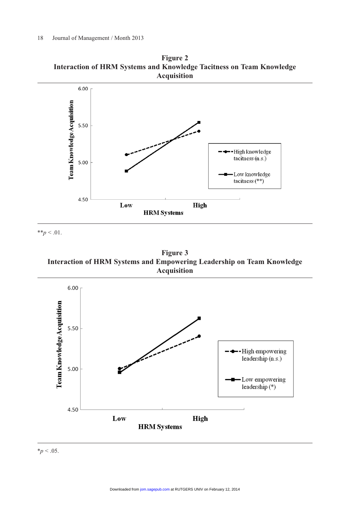

**Figure 2 Interaction of HRM Systems and Knowledge Tacitness on Team Knowledge** 

 $*^*p < .01$ .

**Figure 3 Interaction of HRM Systems and Empowering Leadership on Team Knowledge Acquisition**



 $*_{p}$  < .05.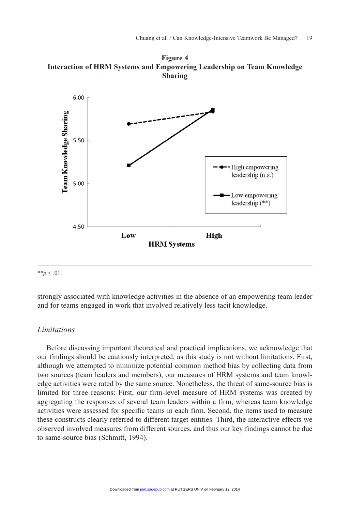**Figure 4 Interaction of HRM Systems and Empowering Leadership on Team Knowledge Sharing**



#### $**_p < .01$ .

strongly associated with knowledge activities in the absence of an empowering team leader and for teams engaged in work that involved relatively less tacit knowledge.

# *Limitations*

Before discussing important theoretical and practical implications, we acknowledge that our findings should be cautiously interpreted, as this study is not without limitations. First, although we attempted to minimize potential common method bias by collecting data from two sources (team leaders and members), our measures of HRM systems and team knowledge activities were rated by the same source. Nonetheless, the threat of same-source bias is limited for three reasons: First, our firm-level measure of HRM systems was created by aggregating the responses of several team leaders within a firm, whereas team knowledge activities were assessed for specific teams in each firm. Second, the items used to measure these constructs clearly referred to different target entities. Third, the interactive effects we observed involved measures from different sources, and thus our key findings cannot be due to same-source bias (Schmitt, 1994).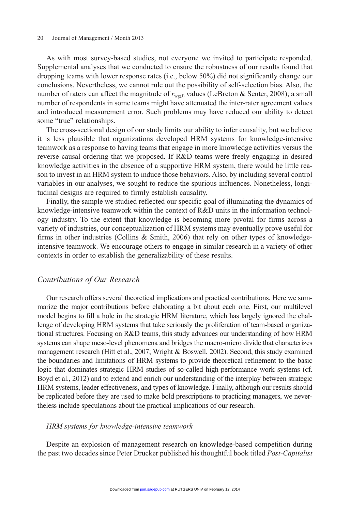As with most survey-based studies, not everyone we invited to participate responded. Supplemental analyses that we conducted to ensure the robustness of our results found that dropping teams with lower response rates (i.e., below 50%) did not significantly change our conclusions. Nevertheless, we cannot rule out the possibility of self-selection bias. Also, the number of raters can affect the magnitude of  $r_{\text{wg(J)}}$  values (LeBreton & Senter, 2008); a small number of respondents in some teams might have attenuated the inter-rater agreement values and introduced measurement error. Such problems may have reduced our ability to detect some "true" relationships.

The cross-sectional design of our study limits our ability to infer causality, but we believe it is less plausible that organizations developed HRM systems for knowledge-intensive teamwork as a response to having teams that engage in more knowledge activities versus the reverse causal ordering that we proposed. If R&D teams were freely engaging in desired knowledge activities in the absence of a supportive HRM system, there would be little reason to invest in an HRM system to induce those behaviors. Also, by including several control variables in our analyses, we sought to reduce the spurious influences. Nonetheless, longitudinal designs are required to firmly establish causality.

Finally, the sample we studied reflected our specific goal of illuminating the dynamics of knowledge-intensive teamwork within the context of R&D units in the information technology industry. To the extent that knowledge is becoming more pivotal for firms across a variety of industries, our conceptualization of HRM systems may eventually prove useful for firms in other industries (Collins & Smith, 2006) that rely on other types of knowledgeintensive teamwork. We encourage others to engage in similar research in a variety of other contexts in order to establish the generalizability of these results.

#### *Contributions of Our Research*

Our research offers several theoretical implications and practical contributions. Here we summarize the major contributions before elaborating a bit about each one. First, our multilevel model begins to fill a hole in the strategic HRM literature, which has largely ignored the challenge of developing HRM systems that take seriously the proliferation of team-based organizational structures. Focusing on R&D teams, this study advances our understanding of how HRM systems can shape meso-level phenomena and bridges the macro-micro divide that characterizes management research (Hitt et al., 2007; Wright & Boswell, 2002). Second, this study examined the boundaries and limitations of HRM systems to provide theoretical refinement to the basic logic that dominates strategic HRM studies of so-called high-performance work systems (cf. Boyd et al., 2012) and to extend and enrich our understanding of the interplay between strategic HRM systems, leader effectiveness, and types of knowledge. Finally, although our results should be replicated before they are used to make bold prescriptions to practicing managers, we nevertheless include speculations about the practical implications of our research.

#### *HRM systems for knowledge-intensive teamwork*

Despite an explosion of management research on knowledge-based competition during the past two decades since Peter Drucker published his thoughtful book titled *Post-Capitalist*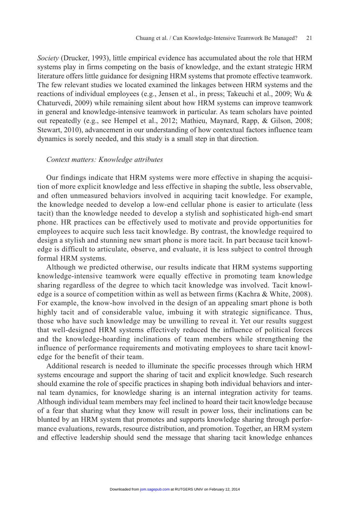*Society* (Drucker, 1993), little empirical evidence has accumulated about the role that HRM systems play in firms competing on the basis of knowledge, and the extant strategic HRM literature offers little guidance for designing HRM systems that promote effective teamwork. The few relevant studies we located examined the linkages between HRM systems and the reactions of individual employees (e.g., Jensen et al., in press; Takeuchi et al., 2009; Wu & Chaturvedi, 2009) while remaining silent about how HRM systems can improve teamwork in general and knowledge-intensive teamwork in particular. As team scholars have pointed out repeatedly (e.g., see Hempel et al., 2012; Mathieu, Maynard, Rapp, & Gilson, 2008; Stewart, 2010), advancement in our understanding of how contextual factors influence team dynamics is sorely needed, and this study is a small step in that direction.

#### *Context matters: Knowledge attributes*

Our findings indicate that HRM systems were more effective in shaping the acquisition of more explicit knowledge and less effective in shaping the subtle, less observable, and often unmeasured behaviors involved in acquiring tacit knowledge. For example, the knowledge needed to develop a low-end cellular phone is easier to articulate (less tacit) than the knowledge needed to develop a stylish and sophisticated high-end smart phone. HR practices can be effectively used to motivate and provide opportunities for employees to acquire such less tacit knowledge. By contrast, the knowledge required to design a stylish and stunning new smart phone is more tacit. In part because tacit knowledge is difficult to articulate, observe, and evaluate, it is less subject to control through formal HRM systems.

Although we predicted otherwise, our results indicate that HRM systems supporting knowledge-intensive teamwork were equally effective in promoting team knowledge sharing regardless of the degree to which tacit knowledge was involved. Tacit knowledge is a source of competition within as well as between firms (Kachra & White, 2008). For example, the know-how involved in the design of an appealing smart phone is both highly tacit and of considerable value, imbuing it with strategic significance. Thus, those who have such knowledge may be unwilling to reveal it. Yet our results suggest that well-designed HRM systems effectively reduced the influence of political forces and the knowledge-hoarding inclinations of team members while strengthening the influence of performance requirements and motivating employees to share tacit knowledge for the benefit of their team.

Additional research is needed to illuminate the specific processes through which HRM systems encourage and support the sharing of tacit and explicit knowledge. Such research should examine the role of specific practices in shaping both individual behaviors and internal team dynamics, for knowledge sharing is an internal integration activity for teams. Although individual team members may feel inclined to hoard their tacit knowledge because of a fear that sharing what they know will result in power loss, their inclinations can be blunted by an HRM system that promotes and supports knowledge sharing through performance evaluations, rewards, resource distribution, and promotion. Together, an HRM system and effective leadership should send the message that sharing tacit knowledge enhances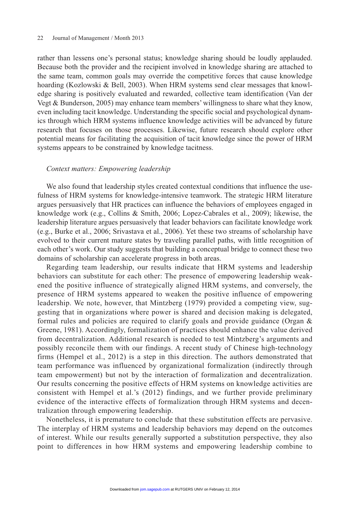rather than lessens one's personal status; knowledge sharing should be loudly applauded. Because both the provider and the recipient involved in knowledge sharing are attached to the same team, common goals may override the competitive forces that cause knowledge hoarding (Kozlowski & Bell, 2003). When HRM systems send clear messages that knowledge sharing is positively evaluated and rewarded, collective team identification (Van der Vegt & Bunderson, 2005) may enhance team members' willingness to share what they know, even including tacit knowledge. Understanding the specific social and psychological dynamics through which HRM systems influence knowledge activities will be advanced by future research that focuses on those processes. Likewise, future research should explore other potential means for facilitating the acquisition of tacit knowledge since the power of HRM systems appears to be constrained by knowledge tacitness.

#### *Context matters: Empowering leadership*

We also found that leadership styles created contextual conditions that influence the usefulness of HRM systems for knowledge-intensive teamwork. The strategic HRM literature argues persuasively that HR practices can influence the behaviors of employees engaged in knowledge work (e.g., Collins & Smith, 2006; Lopez-Cabrales et al., 2009); likewise, the leadership literature argues persuasively that leader behaviors can facilitate knowledge work (e.g., Burke et al., 2006; Srivastava et al., 2006). Yet these two streams of scholarship have evolved to their current mature states by traveling parallel paths, with little recognition of each other's work. Our study suggests that building a conceptual bridge to connect these two domains of scholarship can accelerate progress in both areas.

Regarding team leadership, our results indicate that HRM systems and leadership behaviors can substitute for each other: The presence of empowering leadership weakened the positive influence of strategically aligned HRM systems, and conversely, the presence of HRM systems appeared to weaken the positive influence of empowering leadership. We note, however, that Mintzberg (1979) provided a competing view, suggesting that in organizations where power is shared and decision making is delegated, formal rules and policies are required to clarify goals and provide guidance (Organ  $\&$ Greene, 1981). Accordingly, formalization of practices should enhance the value derived from decentralization. Additional research is needed to test Mintzberg's arguments and possibly reconcile them with our findings. A recent study of Chinese high-technology firms (Hempel et al., 2012) is a step in this direction. The authors demonstrated that team performance was influenced by organizational formalization (indirectly through team empowerment) but not by the interaction of formalization and decentralization. Our results concerning the positive effects of HRM systems on knowledge activities are consistent with Hempel et al.'s (2012) findings, and we further provide preliminary evidence of the interactive effects of formalization through HRM systems and decentralization through empowering leadership.

Nonetheless, it is premature to conclude that these substitution effects are pervasive. The interplay of HRM systems and leadership behaviors may depend on the outcomes of interest. While our results generally supported a substitution perspective, they also point to differences in how HRM systems and empowering leadership combine to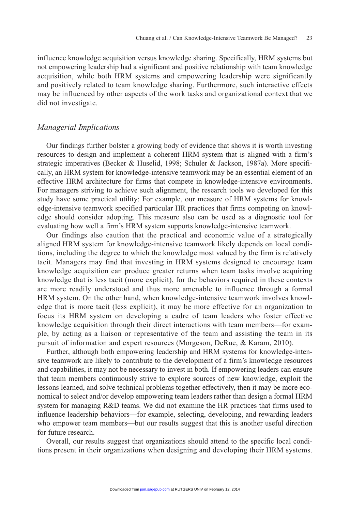influence knowledge acquisition versus knowledge sharing. Specifically, HRM systems but not empowering leadership had a significant and positive relationship with team knowledge acquisition, while both HRM systems and empowering leadership were significantly and positively related to team knowledge sharing. Furthermore, such interactive effects may be influenced by other aspects of the work tasks and organizational context that we did not investigate.

#### *Managerial Implications*

Our findings further bolster a growing body of evidence that shows it is worth investing resources to design and implement a coherent HRM system that is aligned with a firm's strategic imperatives (Becker & Huselid, 1998; Schuler & Jackson, 1987a). More specifically, an HRM system for knowledge-intensive teamwork may be an essential element of an effective HRM architecture for firms that compete in knowledge-intensive environments. For managers striving to achieve such alignment, the research tools we developed for this study have some practical utility: For example, our measure of HRM systems for knowledge-intensive teamwork specified particular HR practices that firms competing on knowledge should consider adopting. This measure also can be used as a diagnostic tool for evaluating how well a firm's HRM system supports knowledge-intensive teamwork.

Our findings also caution that the practical and economic value of a strategically aligned HRM system for knowledge-intensive teamwork likely depends on local conditions, including the degree to which the knowledge most valued by the firm is relatively tacit. Managers may find that investing in HRM systems designed to encourage team knowledge acquisition can produce greater returns when team tasks involve acquiring knowledge that is less tacit (more explicit), for the behaviors required in these contexts are more readily understood and thus more amenable to influence through a formal HRM system. On the other hand, when knowledge-intensive teamwork involves knowledge that is more tacit (less explicit), it may be more effective for an organization to focus its HRM system on developing a cadre of team leaders who foster effective knowledge acquisition through their direct interactions with team members—for example, by acting as a liaison or representative of the team and assisting the team in its pursuit of information and expert resources (Morgeson, DeRue, & Karam, 2010).

Further, although both empowering leadership and HRM systems for knowledge-intensive teamwork are likely to contribute to the development of a firm's knowledge resources and capabilities, it may not be necessary to invest in both. If empowering leaders can ensure that team members continuously strive to explore sources of new knowledge, exploit the lessons learned, and solve technical problems together effectively, then it may be more economical to select and/or develop empowering team leaders rather than design a formal HRM system for managing R&D teams. We did not examine the HR practices that firms used to influence leadership behaviors—for example, selecting, developing, and rewarding leaders who empower team members—but our results suggest that this is another useful direction for future research.

Overall, our results suggest that organizations should attend to the specific local conditions present in their organizations when designing and developing their HRM systems.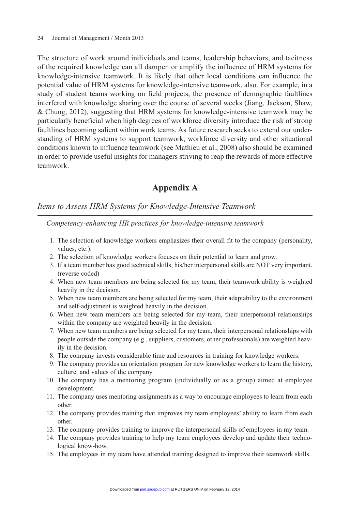The structure of work around individuals and teams, leadership behaviors, and tacitness of the required knowledge can all dampen or amplify the influence of HRM systems for knowledge-intensive teamwork. It is likely that other local conditions can influence the potential value of HRM systems for knowledge-intensive teamwork, also. For example, in a study of student teams working on field projects, the presence of demographic faultlines interfered with knowledge sharing over the course of several weeks (Jiang, Jackson, Shaw, & Chung, 2012), suggesting that HRM systems for knowledge-intensive teamwork may be particularly beneficial when high degrees of workforce diversity introduce the risk of strong faultlines becoming salient within work teams. As future research seeks to extend our understanding of HRM systems to support teamwork, workforce diversity and other situational conditions known to influence teamwork (see Mathieu et al., 2008) also should be examined in order to provide useful insights for managers striving to reap the rewards of more effective teamwork.

# **Appendix A**

# *Items to Assess HRM Systems for Knowledge-Intensive Teamwork*

*Competency-enhancing HR practices for knowledge-intensive teamwork*

- 1. The selection of knowledge workers emphasizes their overall fit to the company (personality, values, etc.).
- 2. The selection of knowledge workers focuses on their potential to learn and grow.
- 3. If a team member has good technical skills, his/her interpersonal skills are NOT very important. (reverse coded)
- 4. When new team members are being selected for my team, their teamwork ability is weighted heavily in the decision.
- 5. When new team members are being selected for my team, their adaptability to the environment and self-adjustment is weighted heavily in the decision.
- 6. When new team members are being selected for my team, their interpersonal relationships within the company are weighted heavily in the decision.
- 7. When new team members are being selected for my team, their interpersonal relationships with people outside the company (e.g., suppliers, customers, other professionals) are weighted heavily in the decision.
- 8. The company invests considerable time and resources in training for knowledge workers.
- 9. The company provides an orientation program for new knowledge workers to learn the history, culture, and values of the company.
- 10. The company has a mentoring program (individually or as a group) aimed at employee development.
- 11. The company uses mentoring assignments as a way to encourage employees to learn from each other.
- 12. The company provides training that improves my team employees' ability to learn from each other.
- 13. The company provides training to improve the interpersonal skills of employees in my team.
- 14. The company provides training to help my team employees develop and update their technological know-how.
- 15. The employees in my team have attended training designed to improve their teamwork skills.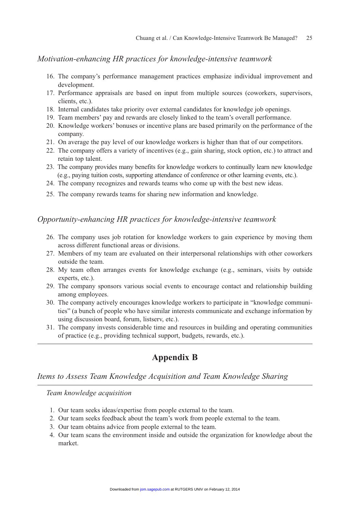### *Motivation-enhancing HR practices for knowledge-intensive teamwork*

- 16. The company's performance management practices emphasize individual improvement and development.
- 17. Performance appraisals are based on input from multiple sources (coworkers, supervisors, clients, etc.).
- 18. Internal candidates take priority over external candidates for knowledge job openings.
- 19. Team members' pay and rewards are closely linked to the team's overall performance.
- 20. Knowledge workers' bonuses or incentive plans are based primarily on the performance of the company.
- 21. On average the pay level of our knowledge workers is higher than that of our competitors.
- 22. The company offers a variety of incentives (e.g., gain sharing, stock option, etc.) to attract and retain top talent.
- 23. The company provides many benefits for knowledge workers to continually learn new knowledge (e.g., paying tuition costs, supporting attendance of conference or other learning events, etc.).
- 24. The company recognizes and rewards teams who come up with the best new ideas.
- 25. The company rewards teams for sharing new information and knowledge.

#### *Opportunity-enhancing HR practices for knowledge-intensive teamwork*

- 26. The company uses job rotation for knowledge workers to gain experience by moving them across different functional areas or divisions.
- 27. Members of my team are evaluated on their interpersonal relationships with other coworkers outside the team.
- 28. My team often arranges events for knowledge exchange (e.g., seminars, visits by outside experts, etc.).
- 29. The company sponsors various social events to encourage contact and relationship building among employees.
- 30. The company actively encourages knowledge workers to participate in "knowledge communities" (a bunch of people who have similar interests communicate and exchange information by using discussion board, forum, listserv, etc.).
- 31. The company invests considerable time and resources in building and operating communities of practice (e.g., providing technical support, budgets, rewards, etc.).

# **Appendix B**

# *Items to Assess Team Knowledge Acquisition and Team Knowledge Sharing*

*Team knowledge acquisition*

- 1. Our team seeks ideas/expertise from people external to the team.
- 2. Our team seeks feedback about the team's work from people external to the team.
- 3. Our team obtains advice from people external to the team.
- 4. Our team scans the environment inside and outside the organization for knowledge about the market.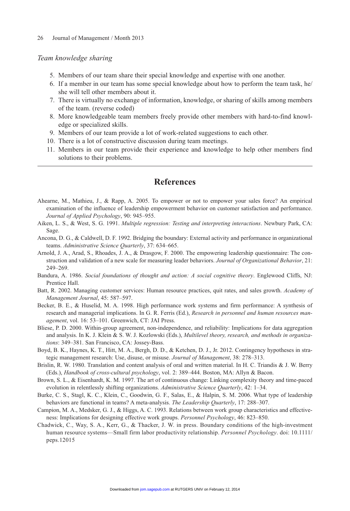#### *Team knowledge sharing*

- 5. Members of our team share their special knowledge and expertise with one another.
- 6. If a member in our team has some special knowledge about how to perform the team task, he/ she will tell other members about it.
- 7. There is virtually no exchange of information, knowledge, or sharing of skills among members of the team. (reverse coded)
- 8. More knowledgeable team members freely provide other members with hard-to-find knowledge or specialized skills.
- 9. Members of our team provide a lot of work-related suggestions to each other.
- 10. There is a lot of constructive discussion during team meetings.
- 11. Members in our team provide their experience and knowledge to help other members find solutions to their problems.

# **References**

- Ahearne, M., Mathieu, J., & Rapp, A. 2005. To empower or not to empower your sales force? An empirical examination of the influence of leadership empowerment behavior on customer satisfaction and performance. *Journal of Applied Psychology*, 90: 945–955.
- Aiken, L. S., & West, S. G. 1991. *Multiple regression: Testing and interpreting interactions*. Newbury Park, CA: Sage.
- Ancona, D. G., & Caldwell, D. F. 1992. Bridging the boundary: External activity and performance in organizational teams. *Administrative Science Quarterly*, 37: 634–665.
- Arnold, J. A., Arad, S., Rhoades, J. A., & Drasgow, F. 2000. The empowering leadership questionnaire: The construction and validation of a new scale for measuring leader behaviors. *Journal of Organizational Behavior*, 21: 249–269.
- Bandura, A. 1986. *Social foundations of thought and action: A social cognitive theory*. Englewood Cliffs, NJ: Prentice Hall.
- Batt, R. 2002. Managing customer services: Human resource practices, quit rates, and sales growth. *Academy of Management Journal*, 45: 587–597.
- Becker, B. E., & Huselid, M. A. 1998. High performance work systems and firm performance: A synthesis of research and managerial implications. In G. R. Ferris (Ed.), *Research in personnel and human resources management*, vol. 16: 53–101. Greenwich, CT: JAI Press.
- Bliese, P. D. 2000. Within-group agreement, non-independence, and reliability: Implications for data aggregation and analysis. In K. J. Klein & S. W. J. Kozlowski (Eds.), *Multilevel theory, research, and methods in organizations*: 349–381. San Francisco, CA: Jossey-Bass.
- Boyd, B. K., Haynes, K. T., Hitt, M. A., Bergh, D. D., & Ketchen, D. J., Jr. 2012. Contingency hypotheses in strategic management research: Use, disuse, or misuse. *Journal of Management*, 38: 278–313.
- Brislin, R. W. 1980. Translation and content analysis of oral and written material. In H. C. Triandis & J. W. Berry (Eds.), *Handbook of cross-cultural psychology*, vol. 2: 389–444. Boston, MA: Allyn & Bacon.
- Brown, S. L., & Eisenhardt, K. M. 1997. The art of continuous change: Linking complexity theory and time-paced evolution in relentlessly shifting organizations. *Administrative Science Quarterly*, 42: 1–34.
- Burke, C. S., Stagl, K. C., Klein, C., Goodwin, G. F., Salas, E., & Halpin, S. M. 2006. What type of leadership behaviors are functional in teams? A meta-analysis. *The Leadership Quarterly*, 17: 288–307.
- Campion, M. A., Medsker, G. J., & Higgs, A. C. 1993. Relations between work group characteristics and effectiveness: Implications for designing effective work groups. *Personnel Psychology*, 46: 823–850.
- Chadwick, C., Way, S. A., Kerr, G., & Thacker, J. W. in press. Boundary conditions of the high-investment human resource systems—Small firm labor productivity relationship. *Personnel Psychology*. doi: 10.1111/ peps.12015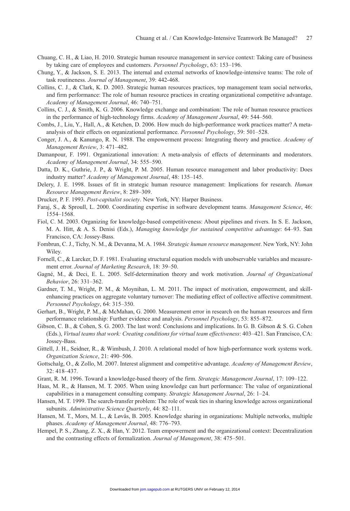- Chuang, C. H., & Liao, H. 2010. Strategic human resource management in service context: Taking care of business by taking care of employees and customers. *Personnel Psychology*, 63: 153–196.
- Chung, Y., & Jackson, S. E. 2013. The internal and external networks of knowledge-intensive teams: The role of task routineness. *Journal of Management*, 39: 442-468.
- Collins, C. J., & Clark, K. D. 2003. Strategic human resources practices, top management team social networks, and firm performance: The role of human resource practices in creating organizational competitive advantage. *Academy of Management Journal*, 46: 740–751.
- Collins, C. J., & Smith, K. G. 2006. Knowledge exchange and combination: The role of human resource practices in the performance of high-technology firms. *Academy of Management Journal*, 49: 544–560.
- Combs, J., Liu, Y., Hall, A., & Ketchen, D. 2006. How much do high-performance work practices matter? A metaanalysis of their effects on organizational performance. *Personnel Psychology*, 59: 501–528.
- Conger, J. A., & Kanungo, R. N. 1988. The empowerment process: Integrating theory and practice. *Academy of Management Review*, 3: 471–482.
- Damanpour, F. 1991. Organizational innovation: A meta-analysis of effects of determinants and moderators. *Academy of Management Journal*, 34: 555–590.
- Datta, D. K., Guthrie, J. P., & Wright, P. M. 2005. Human resource management and labor productivity: Does industry matter? *Academy of Management Journal*, 48: 135–145.
- Delery, J. E. 1998. Issues of fit in strategic human resource management: Implications for research. *Human Resource Management Review*, 8: 289–309.
- Drucker, P. F. 1993. *Post-capitalist society*. New York, NY: Harper Business.
- Faraj, S., & Sproull, L. 2000. Coordinating expertise in software development teams. *Management Science*, 46: 1554–1568.
- Fiol, C. M. 2003. Organizing for knowledge-based competitiveness: About pipelines and rivers. In S. E. Jackson, M. A. Hitt, & A. S. Denisi (Eds.), *Managing knowledge for sustained competitive advantage*: 64–93. San Francisco, CA: Jossey-Bass.
- Fombrun, C. J., Tichy, N. M., & Devanna, M. A. 1984. *Strategic human resource management*. New York, NY: John Wiley.
- Fornell, C., & Larcker, D. F. 1981. Evaluating structural equation models with unobservable variables and measurement error. *Journal of Marketing Research*, 18: 39–50.
- Gagné, M., & Deci, E. L. 2005. Self-determination theory and work motivation. *Journal of Organizational Behavior*, 26: 331–362.
- Gardner, T. M., Wright, P. M., & Moynihan, L. M. 2011. The impact of motivation, empowerment, and skillenhancing practices on aggregate voluntary turnover: The mediating effect of collective affective commitment. *Personnel Psychology*, 64: 315–350.
- Gerhart, B., Wright, P. M., & McMahan, G. 2000. Measurement error in research on the human resources and firm performance relationship: Further evidence and analysis. *Personnel Psychology*, 53: 855–872.
- Gibson, C. B., & Cohen, S. G. 2003. The last word: Conclusions and implications. In G. B. Gibson & S. G. Cohen (Eds.), *Virtual teams that work: Creating conditions for virtual team effectiveness*: 403–421. San Francisco, CA: Jossey-Bass.
- Gittell, J. H., Seidner, R., & Wimbush, J. 2010. A relational model of how high-performance work systems work. *Organization Science*, 21: 490–506.
- Gottschalg, O., & Zollo, M. 2007. Interest alignment and competitive advantage. *Academy of Management Review*, 32: 418–437.
- Grant, R. M. 1996. Toward a knowledge-based theory of the firm. *Strategic Management Journal*, 17: 109–122.
- Haas, M. R., & Hansen, M. T. 2005. When using knowledge can hurt performance: The value of organizational capabilities in a management consulting company. *Strategic Management Journal*, 26: 1–24.
- Hansen, M. T. 1999. The search-transfer problem: The role of weak ties in sharing knowledge across organizational subunits. *Administrative Science Quarterly*, 44: 82–111.
- Hansen, M. T., Mors, M. L., & Løvås, B. 2005. Knowledge sharing in organizations: Multiple networks, multiple phases. *Academy of Management Journal*, 48: 776–793.
- Hempel, P. S., Zhang, Z. X., & Han, Y. 2012. Team empowerment and the organizational context: Decentralization and the contrasting effects of formalization. *Journal of Management*, 38: 475–501.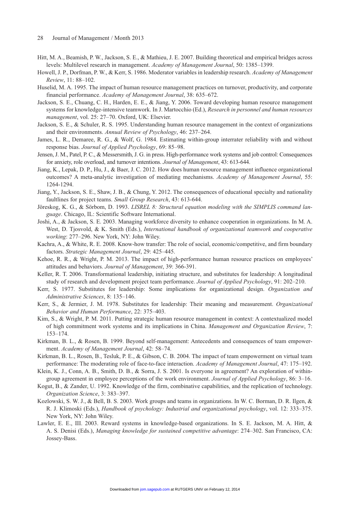- Hitt, M. A., Beamish, P. W., Jackson, S. E., & Mathieu, J. E. 2007. Building theoretical and empirical bridges across levels: Multilevel research in management. *Academy of Management Journal*, 50: 1385–1399.
- Howell, J. P., Dorfman, P. W., & Kerr, S. 1986. Moderator variables in leadership research. *Academy of Management Review*, 11: 88–102.
- Huselid, M. A. 1995. The impact of human resource management practices on turnover, productivity, and corporate financial performance. *Academy of Management Journal*, 38: 635–672.
- Jackson, S. E., Chuang, C. H., Harden, E. E., & Jiang, Y. 2006. Toward developing human resource management systems for knowledge-intensive teamwork. In J. Martocchio (Ed.), *Research in personnel and human resources management*, vol. 25: 27–70. Oxford, UK: Elsevier.
- Jackson, S. E., & Schuler, R. S. 1995. Understanding human resource management in the context of organizations and their environments. *Annual Review of Psychology*, 46: 237–264.
- James, L. R., Demaree, R. G., & Wolf, G. 1984. Estimating within-group interrater reliability with and without response bias. *Journal of Applied Psychology*, 69: 85–98.
- Jensen, J. M., Patel, P. C., & Messersmith, J. G. in press. High-performance work systems and job control: Consequences for anxiety, role overload, and turnover intentions. *Journal of Management*, 43: 613-644.
- Jiang, K., Lepak, D. P., Hu, J., & Baer, J. C. 2012. How does human resource management influence organizational outcomes? A meta-analytic investigation of mediating mechanisms. *Academy of Management Journal*, 55: 1264-1294.
- Jiang, Y., Jackson, S. E., Shaw, J. B., & Chung, Y. 2012. The consequences of educational specialty and nationality faultlines for project teams. *Small Group Research*, 43: 613-644.
- Jöreskog, K. G., & Sörbom, D. 1993. *LISREL 8: Structural equation modeling with the SIMPLIS command language*. Chicago, IL: Scientific Software International.
- Joshi, A., & Jackson, S. E. 2003. Managing workforce diversity to enhance cooperation in organizations. In M. A. West, D. Tjosvold, & K. Smith (Eds.), *International handbook of organizational teamwork and cooperative working*: 277–296. New York, NY: John Wiley.
- Kachra, A., & White, R. E. 2008. Know-how transfer: The role of social, economic/competitive, and firm boundary factors. *Strategic Management Journal*, 29: 425–445.
- Kehoe, R. R., & Wright, P. M. 2013. The impact of high-performance human resource practices on employees' attitudes and behaviors. *Journal of Management*, 39: 366-391.
- Keller, R. T. 2006. Transformational leadership, initiating structure, and substitutes for leadership: A longitudinal study of research and development project team performance. *Journal of Applied Psychology*, 91: 202–210.
- Kerr, S. 1977. Substitutes for leadership: Some implications for organizational design. *Organization and Administrative Sciences*, 8: 135–146.
- Kerr, S., & Jermier, J. M. 1978. Substitutes for leadership: Their meaning and measurement. *Organizational Behavior and Human Performance*, 22: 375–403.
- Kim, S., & Wright, P. M. 2011. Putting strategic human resource management in context: A contextualized model of high commitment work systems and its implications in China. *Management and Organization Review*, 7: 153–174.
- Kirkman, B. L., & Rosen, B. 1999. Beyond self-management: Antecedents and consequences of team empowerment. *Academy of Management Journal*, 42: 58–74.
- Kirkman, B. L., Rosen, B., Tesluk, P. E., & Gibson, C. B. 2004. The impact of team empowerment on virtual team performance: The moderating role of face-to-face interaction. *Academy of Management Journal*, 47: 175–192.
- Klein, K. J., Conn, A. B., Smith, D. B., & Sorra, J. S. 2001. Is everyone in agreement? An exploration of withingroup agreement in employee perceptions of the work environment. *Journal of Applied Psychology*, 86: 3–16.
- Kogut, B., & Zander, U. 1992. Knowledge of the firm, combinative capabilities, and the replication of technology. *Organization Science*, 3: 383–397.
- Kozlowski, S. W. J., & Bell, B. S. 2003. Work groups and teams in organizations. In W. C. Borman, D. R. Ilgen, & R. J. Klimoski (Eds.), *Handbook of psychology: Industrial and organizational psychology*, vol. 12: 333–375. New York, NY: John Wiley.
- Lawler, E. E., III. 2003. Reward systems in knowledge-based organizations. In S. E. Jackson, M. A. Hitt, & A. S. Denisi (Eds.), *Managing knowledge for sustained competitive advantage*: 274–302. San Francisco, CA: Jossey-Bass.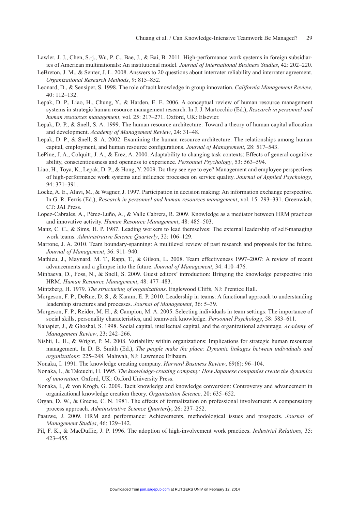- Lawler, J. J., Chen, S.-j., Wu, P. C., Bae, J., & Bai, B. 2011. High-performance work systems in foreign subsidiaries of American multinationals: An institutional model. *Journal of International Business Studies*, 42: 202–220.
- LeBreton, J. M., & Senter, J. L. 2008. Answers to 20 questions about interrater reliability and interrater agreement. *Organizational Research Methods*, 9: 815–852.
- Leonard, D., & Sensiper, S. 1998. The role of tacit knowledge in group innovation. *California Management Review*, 40: 112–132.
- Lepak, D. P., Liao, H., Chung, Y., & Harden, E. E. 2006. A conceptual review of human resource management systems in strategic human resource management research. In J. J. Martocchio (Ed.), *Research in personnel and human resources management*, vol. 25: 217–271. Oxford, UK: Elsevier.
- Lepak, D. P., & Snell, S. A. 1999. The human resource architecture: Toward a theory of human capital allocation and development. *Academy of Management Review*, 24: 31–48.
- Lepak, D. P., & Snell, S. A. 2002. Examining the human resource architecture: The relationships among human capital, employment, and human resource configurations. *Journal of Management*, 28: 517–543.
- LePine, J. A., Colquitt, J. A., & Erez, A. 2000. Adaptability to changing task contexts: Effects of general cognitive ability, conscientiousness and openness to experience. *Personnel Psychology*, 53: 563–594.
- Liao, H., Toya, K., Lepak, D. P., & Hong, Y. 2009. Do they see eye to eye? Management and employee perspectives of high-performance work systems and influence processes on service quality. *Journal of Applied Psychology*, 94: 371–391.
- Locke, A. E., Alavi, M., & Wagner, J. 1997. Participation in decision making: An information exchange perspective. In G. R. Ferris (Ed.), *Research in personnel and human resources management*, vol. 15: 293–331. Greenwich, CT: JAI Press.
- Lopez-Cabrales, A., Pérez-Luño, A., & Valle Cabrera, R. 2009. Knowledge as a mediator between HRM practices and innovative activity. *Human Resource Management*, 48: 485–503.
- Manz, C. C., & Sims, H. P. 1987. Leading workers to lead themselves: The external leadership of self-managing work teams. *Administrative Science Quarterly*, 32: 106–129.
- Marrone, J. A. 2010. Team boundary-spanning: A multilevel review of past research and proposals for the future. *Journal of Management*, 36: 911–940.
- Mathieu, J., Maynard, M. T., Rapp, T., & Gilson, L. 2008. Team effectiveness 1997–2007: A review of recent advancements and a glimpse into the future. *Journal of Management*, 34: 410–476.
- Minbaeva, D., Foss, N., & Snell, S. 2009. Guest editors' introduction: Bringing the knowledge perspective into HRM. *Human Resource Management*, 48: 477–483.
- Mintzberg, H. 1979. *The structuring of organizations*. Englewood Cliffs, NJ: Prentice Hall.
- Morgeson, F. P., DeRue, D. S., & Karam, E. P. 2010. Leadership in teams: A functional approach to understanding leadership structures and processes. *Journal of Management*, 36: 5–39.
- Morgeson, F. P., Reider, M. H., & Campion, M. A. 2005. Selecting individuals in team settings: The importance of social skills, personality characteristics, and teamwork knowledge. *Personnel Psychology*, 58: 583–611.
- Nahapiet, J., & Ghoshal, S. 1998. Social capital, intellectual capital, and the organizational advantage. *Academy of Management Review*, 23: 242–266.
- Nishii, L. H., & Wright, P. M. 2008. Variability within organizations: Implications for strategic human resources management. In D. B. Smith (Ed.), *The people make the place: Dynamic linkages between individuals and organizations*: 225–248. Mahwah, NJ: Lawrence Erlbaum.
- Nonaka, I. 1991. The knowledge creating company. *Harvard Business Review*, 69(6): 96–104.
- Nonaka, I., & Takeuchi, H. 1995. *The knowledge-creating company: How Japanese companies create the dynamics of innovation*. Oxford, UK: Oxford University Press.
- Nonaka, I., & von Krogh, G. 2009. Tacit knowledge and knowledge conversion: Controversy and advancement in organizational knowledge creation theory. *Organization Science*, 20: 635–652.
- Organ, D. W., & Greene, C. N. 1981. The effects of formalization on professional involvement: A compensatory process approach. *Administrative Science Quarterly*, 26: 237–252.
- Paauwe, J. 2009. HRM and performance: Achievements, methodological issues and prospects. *Journal of Management Studies*, 46: 129–142.
- Pil, F. K., & MacDuffie, J. P. 1996. The adoption of high-involvement work practices. *Industrial Relations*, 35: 423–455.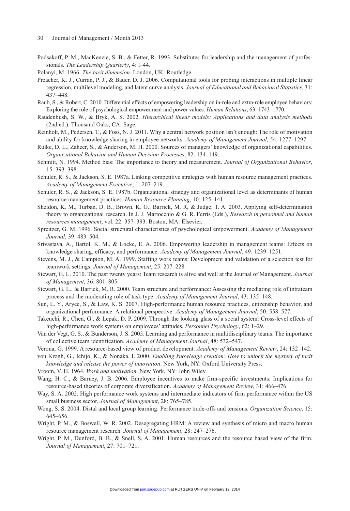- Podsakoff, P. M., MacKenzie, S. B., & Fetter, R. 1993. Substitutes for leadership and the management of professionals. *The Leadership Quarterly*, 4: l–44.
- Polanyi, M. 1966. *The tacit dimension*. London, UK: Routledge.
- Preacher, K. J., Curran, P. J., & Bauer, D. J. 2006. Computational tools for probing interactions in multiple linear regression, multilevel modeling, and latent curve analysis. *Journal of Educational and Behavioral Statistics*, 31: 437–448.
- Raub, S., & Robert, C. 2010. Differential effects of empowering leadership on in-role and extra-role employee behaviors: Exploring the role of psychological empowerment and power values. *Human Relations*, 63: 1743–1770.
- Raudenbush, S. W., & Bryk, A. S. 2002. *Hierarchical linear models: Applications and data analysis methods* (2nd ed.). Thousand Oaks, CA: Sage.
- Reinholt, M., Pedersen, T., & Foss, N. J. 2011. Why a central network position isn't enough: The role of motivation and ability for knowledge sharing in employee networks. *Academy of Management Journal*, 54: 1277–1297.
- Rulke, D. L., Zaheer, S., & Anderson, M. H. 2000. Sources of managers' knowledge of organizational capabilities. *Organizational Behavior and Human Decision Processes*, 82: 134–149.
- Schmitt, N. 1994. Method bias: The importance to theory and measurement. *Journal of Organizational Behavior*, 15: 393–398.
- Schuler, R. S., & Jackson, S. E. 1987a. Linking competitive strategies with human resource management practices. *Academy of Management Executive*, 1: 207–219.
- Schuler, R. S., & Jackson, S. E. 1987b. Organizational strategy and organizational level as determinants of human resource management practices. *Human Resource Planning*, 10: 125–141.
- Sheldon, K. M., Turban, D. B., Brown, K. G., Barrick, M. R, & Judge, T. A. 2003. Applying self-determination theory to organizational research. In J. J. Martocchio & G. R. Ferris (Eds.), *Research in personnel and human resources management*, vol. 22: 357–393. Boston, MA: Elsevier.
- Spreitzer, G. M. 1996. Social structural characteristics of psychological empowerment. *Academy of Management Journal*, 39: 483–504.
- Srivastava, A., Bartol, K. M., & Locke, E. A. 2006. Empowering leadership in management teams: Effects on knowledge sharing, efficacy, and performance. *Academy of Management Journal*, 49: 1239–1251.
- Stevens, M. J., & Campion, M. A. 1999. Staffing work teams: Development and validation of a selection test for teamwork settings. *Journal of Management*, 25: 207–228.
- Stewart, G. L. 2010. The past twenty years: Team research is alive and well at the Journal of Management. *Journal of Management*, 36: 801–805.
- Stewart, G. L., & Barrick, M. R. 2000. Team structure and performance: Assessing the mediating role of intrateam process and the moderating role of task type. *Academy of Management Journal*, 43: 135–148.
- Sun, L. Y., Aryee, S., & Law, K. S. 2007. High-performance human resource practices, citizenship behavior, and organizational performance: A relational perspective. *Academy of Management Journal*, 50: 558–577.
- Takeuchi, R., Chen, G., & Lepak, D. P. 2009. Through the looking glass of a social system: Cross-level effects of high-performance work systems on employees' attitudes. *Personnel Psychology*, 62: 1–29.
- Van der Vegt, G. S., & Bunderson, J. S. 2005. Learning and performance in multidisciplinary teams: The importance of collective team identification. *Academy of Management Journal*, 48: 532–547.
- Verona, G. 1999. A resource-based view of product development. *Academy of Management Review*, 24: 132–142.

von Krogh, G., Ichijo, K., & Nonaka, I. 2000. *Enabling knowledge creation: How to unlock the mystery of tacit knowledge and release the power of innovation*. New York, NY: Oxford University Press.

Vroom, V. H. 1964. *Work and motivation*. New York, NY: John Wiley.

- Wang, H. C., & Barney, J. B. 2006. Employee incentives to make firm-specific investments: Implications for resource-based theories of corporate diversification. *Academy of Management Review*, 31: 466–476.
- Way, S. A. 2002. High performance work systems and intermediate indicators of firm performance within the US small business sector. *Journal of Management*, 28: 765–785.
- Wong, S. S. 2004. Distal and local group learning: Performance trade-offs and tensions. *Organization Science*, 15: 645–656.
- Wright, P. M., & Boswell, W. R. 2002. Desegregating HRM: A review and synthesis of micro and macro human resource management research. *Journal of Management*, 28: 247–276.
- Wright, P. M., Dunford, B. B., & Snell, S. A. 2001. Human resources and the resource based view of the firm. *Journal of Management*, 27: 701–721.